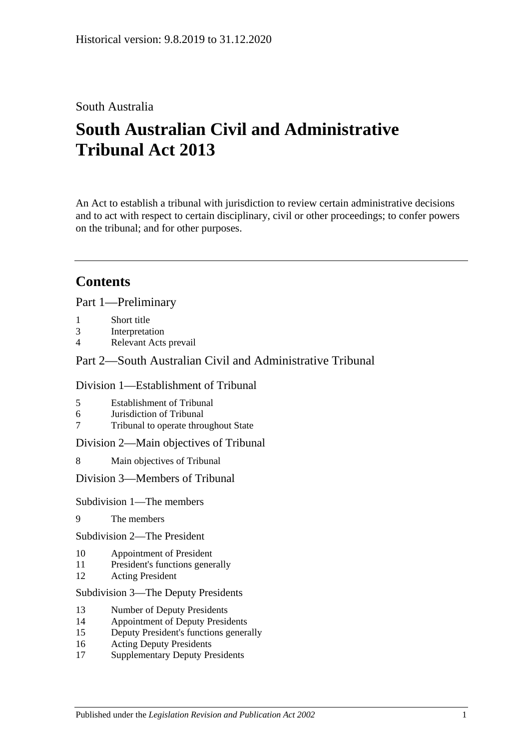# South Australia

# **South Australian Civil and Administrative Tribunal Act 2013**

An Act to establish a tribunal with jurisdiction to review certain administrative decisions and to act with respect to certain disciplinary, civil or other proceedings; to confer powers on the tribunal; and for other purposes.

# **Contents**

Part [1—Preliminary](#page-4-0)

- 1 [Short title](#page-4-1)
- 3 [Interpretation](#page-4-2)
- 4 [Relevant Acts prevail](#page-6-0)

# Part [2—South Australian Civil and Administrative Tribunal](#page-6-1)

### Division [1—Establishment of Tribunal](#page-6-2)

- 5 [Establishment of Tribunal](#page-6-3)
- 6 [Jurisdiction of Tribunal](#page-6-4)
- 7 [Tribunal to operate throughout State](#page-6-5)

Division [2—Main objectives of Tribunal](#page-6-6)

8 [Main objectives of Tribunal](#page-6-7)

Division [3—Members of Tribunal](#page-7-0)

Subdivision [1—The members](#page-7-1)

- 9 [The members](#page-7-2)
- Subdivision [2—The President](#page-7-3)
- 10 [Appointment of President](#page-7-4)
- 11 [President's functions generally](#page-8-0)
- 12 [Acting President](#page-9-0)

#### Subdivision [3—The Deputy Presidents](#page-10-0)

- 13 [Number of Deputy Presidents](#page-10-1)
- 14 [Appointment of Deputy Presidents](#page-10-2)
- 15 [Deputy President's functions generally](#page-11-0)
- 16 [Acting Deputy Presidents](#page-12-0)
- 17 [Supplementary Deputy Presidents](#page-13-0)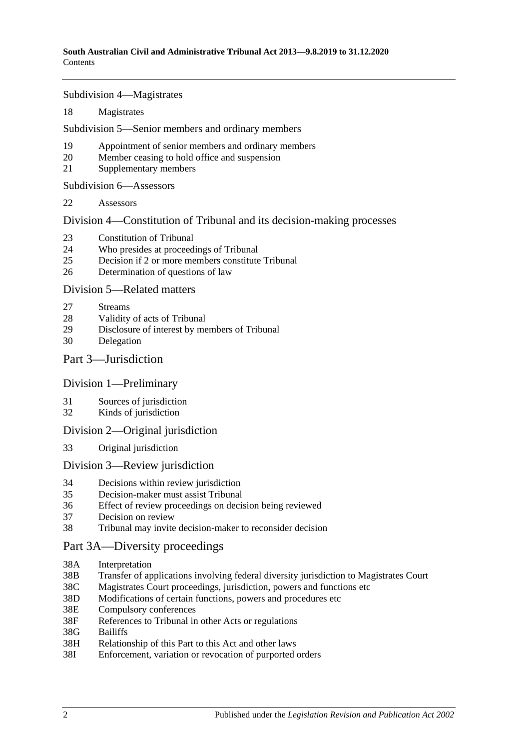Subdivision [4—Magistrates](#page-13-1)

18 [Magistrates](#page-13-2)

Subdivision [5—Senior members and ordinary members](#page-14-0)

- 19 [Appointment of senior members and](#page-14-1) ordinary members
- 20 [Member ceasing to hold office and suspension](#page-15-0)
- 21 [Supplementary members](#page-16-0)

Subdivision [6—Assessors](#page-16-1)

22 [Assessors](#page-16-2)

Division [4—Constitution of Tribunal and its decision-making processes](#page-17-0)

- 23 [Constitution of Tribunal](#page-17-1)
- 24 [Who presides at proceedings of Tribunal](#page-18-0)
- 25 [Decision if 2 or more members constitute Tribunal](#page-19-0)
- 26 [Determination of questions of law](#page-19-1)

### Division [5—Related matters](#page-19-2)

- 27 [Streams](#page-19-3)
- 28 [Validity of acts of Tribunal](#page-19-4)
- 29 [Disclosure of interest by members of Tribunal](#page-19-5)
- 30 [Delegation](#page-20-0)

### Part [3—Jurisdiction](#page-20-1)

### Division [1—Preliminary](#page-20-2)

- 31 [Sources of jurisdiction](#page-20-3)
- 32 [Kinds of jurisdiction](#page-20-4)

### Division [2—Original jurisdiction](#page-21-0)

33 [Original jurisdiction](#page-21-1)

### Division [3—Review jurisdiction](#page-21-2)

- 34 [Decisions within review jurisdiction](#page-21-3)<br>35 Decision-maker must assist Tribunal
- 35 [Decision-maker must assist Tribunal](#page-22-0)
- 36 [Effect of review proceedings on decision being reviewed](#page-23-0)
- 37 [Decision on review](#page-23-1)
- 38 [Tribunal may invite decision-maker to reconsider decision](#page-24-0)

# [Part 3A—Diversity proceedings](#page-25-0)

- 38A [Interpretation](#page-25-1)
- 38B [Transfer of applications involving federal diversity jurisdiction to Magistrates Court](#page-25-2)
- 38C [Magistrates Court proceedings, jurisdiction, powers and functions etc](#page-26-0)
- 38D [Modifications of certain functions, powers and](#page-26-1) procedures etc
- 38E [Compulsory conferences](#page-27-0)
- 38F [References to Tribunal in other Acts or regulations](#page-27-1)
- 38G [Bailiffs](#page-27-2)
- 38H [Relationship of this Part to this Act and other laws](#page-27-3)
- 38I [Enforcement, variation or revocation of purported orders](#page-27-4)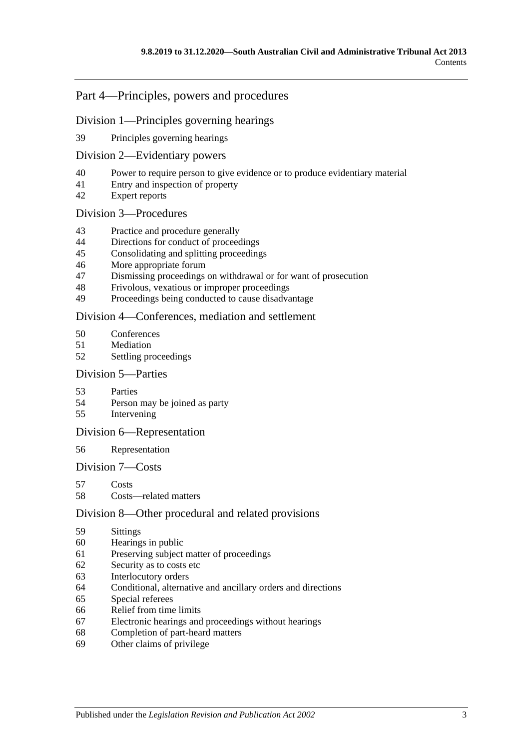# Part [4—Principles, powers and procedures](#page-28-0)

### Division [1—Principles governing hearings](#page-28-1)

[Principles governing hearings](#page-28-2)

### Division [2—Evidentiary powers](#page-29-0)

- [Power to require person to give evidence or to produce evidentiary material](#page-29-1)
- [Entry and inspection of property](#page-30-0)
- [Expert reports](#page-30-1)

### Division [3—Procedures](#page-30-2)

- [Practice and procedure generally](#page-30-3)
- [Directions for conduct of proceedings](#page-31-0)
- [Consolidating and splitting proceedings](#page-31-1)
- [More appropriate forum](#page-31-2)
- [Dismissing proceedings on withdrawal or for want of prosecution](#page-31-3)
- [Frivolous, vexatious or improper proceedings](#page-32-0)
- [Proceedings being conducted to cause disadvantage](#page-32-1)

### Division [4—Conferences, mediation and settlement](#page-33-0)

- [Conferences](#page-33-1)
- [Mediation](#page-34-0)
- [Settling proceedings](#page-35-0)

#### Division [5—Parties](#page-36-0)

- [Parties](#page-36-1)
- [Person may be joined as party](#page-36-2)
- [Intervening](#page-36-3)

### Division [6—Representation](#page-37-0)

### [Representation](#page-37-1)

### Division [7—Costs](#page-37-2)

- [Costs](#page-37-3)
- [Costs—related matters](#page-38-0)

### Division [8—Other procedural and related provisions](#page-38-1)

- [Sittings](#page-38-2)
- [Hearings in public](#page-38-3)
- [Preserving subject matter of proceedings](#page-39-0)
- [Security as to costs etc](#page-40-0)
- [Interlocutory orders](#page-40-1)
- [Conditional, alternative and ancillary orders and directions](#page-40-2)
- [Special referees](#page-40-3)
- [Relief from time limits](#page-41-0)
- [Electronic hearings and proceedings without hearings](#page-41-1)
- [Completion of part-heard matters](#page-41-2)
- [Other claims of privilege](#page-41-3)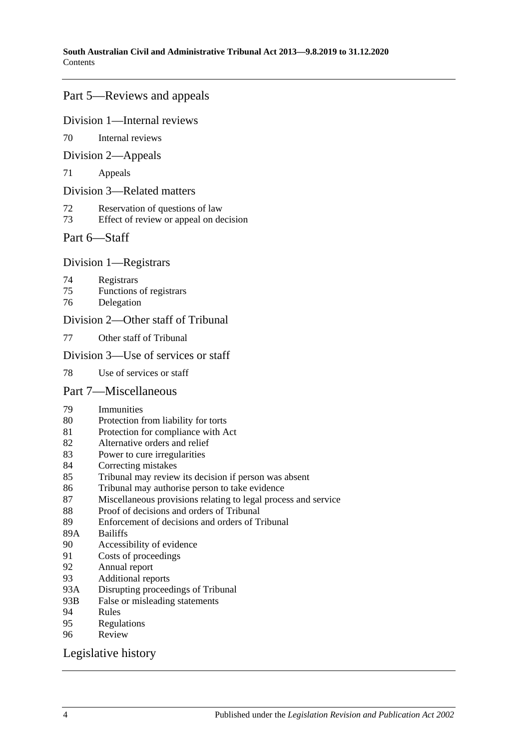# Part [5—Reviews and appeals](#page-41-4)

#### Division [1—Internal reviews](#page-41-5)

[Internal reviews](#page-41-6)

### Division [2—Appeals](#page-42-0)

[Appeals](#page-42-1)

#### Division [3—Related matters](#page-44-0)

- [Reservation of questions of law](#page-44-1)
- [Effect of review or appeal on decision](#page-44-2)

### Part [6—Staff](#page-44-3)

### Division [1—Registrars](#page-44-4)

- [Registrars](#page-44-5)
- [Functions of registrars](#page-45-0)
- [Delegation](#page-45-1)

### Division [2—Other staff of Tribunal](#page-46-0)

[Other staff of Tribunal](#page-46-1)

### Division [3—Use of services or staff](#page-46-2)

[Use of services or staff](#page-46-3)

### Part [7—Miscellaneous](#page-46-4)

- [Immunities](#page-46-5)
- [Protection from liability for torts](#page-46-6)
- [Protection for compliance with Act](#page-47-0)
- [Alternative orders and relief](#page-47-1)
- [Power to cure irregularities](#page-47-2)
- [Correcting mistakes](#page-47-3)
- [Tribunal may review its decision if person was absent](#page-48-0)
- [Tribunal may authorise person to take evidence](#page-48-1)
- [Miscellaneous provisions relating to legal process and service](#page-48-2)
- [Proof of decisions and orders of Tribunal](#page-49-0)
- [Enforcement of decisions and orders of Tribunal](#page-49-1)
- 89A [Bailiffs](#page-49-2)<br>90 Accessi
- [Accessibility of evidence](#page-50-0)
- [Costs of proceedings](#page-50-1)
- [Annual report](#page-51-0)
- [Additional reports](#page-51-1)
- 93A [Disrupting proceedings of Tribunal](#page-51-2)
- 93B [False or misleading statements](#page-51-3)
- [Rules](#page-51-4)
- [Regulations](#page-52-0)<br>96 Review
- **[Review](#page-53-0)**

### [Legislative history](#page-54-0)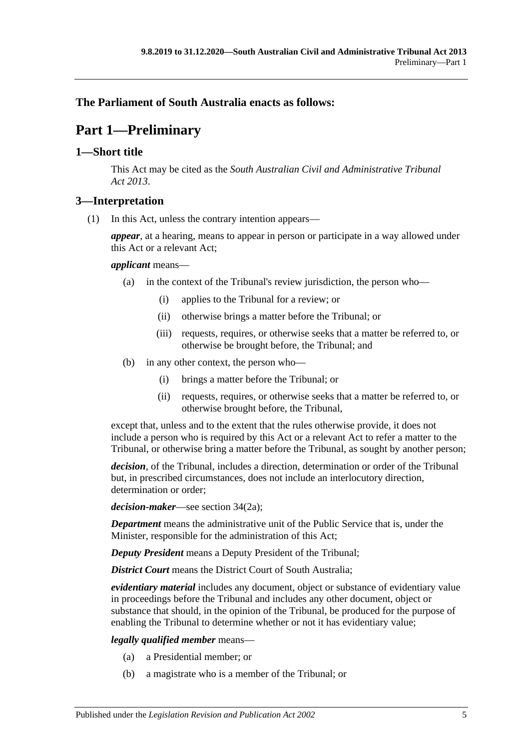# <span id="page-4-0"></span>**The Parliament of South Australia enacts as follows:**

# **Part 1—Preliminary**

# <span id="page-4-1"></span>**1—Short title**

This Act may be cited as the *South Australian Civil and Administrative Tribunal Act 2013*.

# <span id="page-4-2"></span>**3—Interpretation**

(1) In this Act, unless the contrary intention appears—

*appear*, at a hearing, means to appear in person or participate in a way allowed under this Act or a relevant Act;

### *applicant* means—

- (a) in the context of the Tribunal's review jurisdiction, the person who—
	- (i) applies to the Tribunal for a review; or
	- (ii) otherwise brings a matter before the Tribunal; or
	- (iii) requests, requires, or otherwise seeks that a matter be referred to, or otherwise be brought before, the Tribunal; and
- (b) in any other context, the person who—
	- (i) brings a matter before the Tribunal; or
	- (ii) requests, requires, or otherwise seeks that a matter be referred to, or otherwise brought before, the Tribunal,

except that, unless and to the extent that the rules otherwise provide, it does not include a person who is required by this Act or a relevant Act to refer a matter to the Tribunal, or otherwise bring a matter before the Tribunal, as sought by another person;

*decision*, of the Tribunal, includes a direction, determination or order of the Tribunal but, in prescribed circumstances, does not include an interlocutory direction, determination or order;

*decision-maker*—see section 34(2a);

*Department* means the administrative unit of the Public Service that is, under the Minister, responsible for the administration of this Act;

*Deputy President* means a Deputy President of the Tribunal;

*District Court* means the District Court of South Australia;

*evidentiary material* includes any document, object or substance of evidentiary value in proceedings before the Tribunal and includes any other document, object or substance that should, in the opinion of the Tribunal, be produced for the purpose of enabling the Tribunal to determine whether or not it has evidentiary value;

### *legally qualified member* means—

- (a) a Presidential member; or
- (b) a magistrate who is a member of the Tribunal; or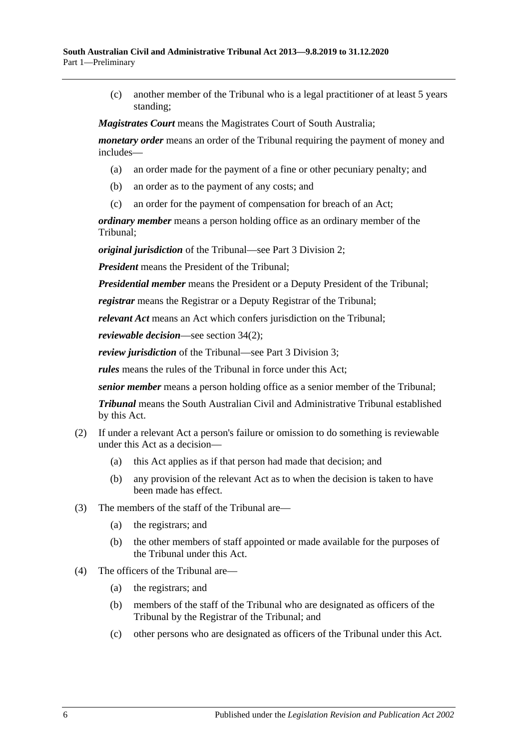(c) another member of the Tribunal who is a legal practitioner of at least 5 years standing;

*Magistrates Court* means the Magistrates Court of South Australia;

*monetary order* means an order of the Tribunal requiring the payment of money and includes—

- (a) an order made for the payment of a fine or other pecuniary penalty; and
- (b) an order as to the payment of any costs; and
- (c) an order for the payment of compensation for breach of an Act;

*ordinary member* means a person holding office as an ordinary member of the Tribunal;

*original jurisdiction* of the Tribunal—see Part [3 Division](#page-21-0) 2;

*President* means the President of the Tribunal;

*Presidential member* means the President or a Deputy President of the Tribunal;

*registrar* means the Registrar or a Deputy Registrar of the Tribunal;

*relevant Act* means an Act which confers jurisdiction on the Tribunal;

*reviewable decision*—see section 34(2);

*review jurisdiction* of the Tribunal—see Part [3 Division](#page-21-2) 3;

*rules* means the rules of the Tribunal in force under this Act;

*senior member* means a person holding office as a senior member of the Tribunal;

*Tribunal* means the South Australian Civil and Administrative Tribunal established by this Act.

- (2) If under a relevant Act a person's failure or omission to do something is reviewable under this Act as a decision—
	- (a) this Act applies as if that person had made that decision; and
	- (b) any provision of the relevant Act as to when the decision is taken to have been made has effect.
- (3) The members of the staff of the Tribunal are—
	- (a) the registrars; and
	- (b) the other members of staff appointed or made available for the purposes of the Tribunal under this Act.
- (4) The officers of the Tribunal are—
	- (a) the registrars; and
	- (b) members of the staff of the Tribunal who are designated as officers of the Tribunal by the Registrar of the Tribunal; and
	- (c) other persons who are designated as officers of the Tribunal under this Act.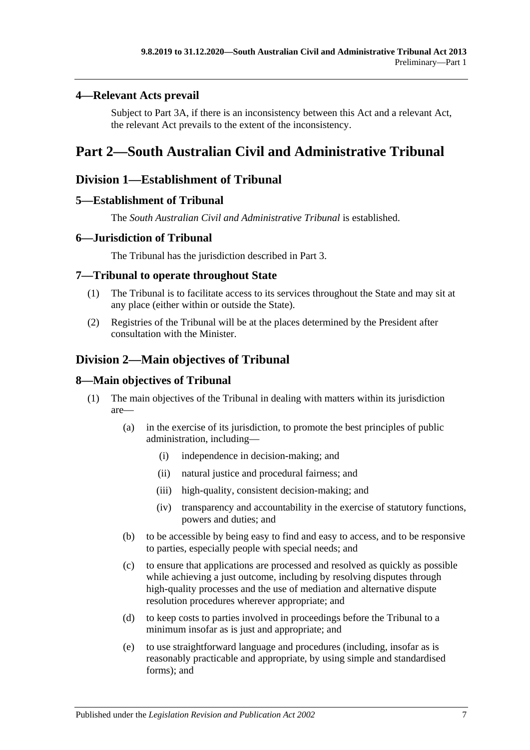# <span id="page-6-0"></span>**4—Relevant Acts prevail**

Subject to [Part 3A,](#page-25-0) if there is an inconsistency between this Act and a relevant Act, the relevant Act prevails to the extent of the inconsistency.

# <span id="page-6-1"></span>**Part 2—South Australian Civil and Administrative Tribunal**

# <span id="page-6-2"></span>**Division 1—Establishment of Tribunal**

# <span id="page-6-3"></span>**5—Establishment of Tribunal**

The *South Australian Civil and Administrative Tribunal* is established.

# <span id="page-6-4"></span>**6—Jurisdiction of Tribunal**

The Tribunal has the jurisdiction described in [Part](#page-20-1) 3.

# <span id="page-6-5"></span>**7—Tribunal to operate throughout State**

- (1) The Tribunal is to facilitate access to its services throughout the State and may sit at any place (either within or outside the State).
- (2) Registries of the Tribunal will be at the places determined by the President after consultation with the Minister.

# <span id="page-6-6"></span>**Division 2—Main objectives of Tribunal**

# <span id="page-6-7"></span>**8—Main objectives of Tribunal**

- (1) The main objectives of the Tribunal in dealing with matters within its jurisdiction are—
	- (a) in the exercise of its jurisdiction, to promote the best principles of public administration, including—
		- (i) independence in decision-making; and
		- (ii) natural justice and procedural fairness; and
		- (iii) high-quality, consistent decision-making; and
		- (iv) transparency and accountability in the exercise of statutory functions, powers and duties; and
	- (b) to be accessible by being easy to find and easy to access, and to be responsive to parties, especially people with special needs; and
	- (c) to ensure that applications are processed and resolved as quickly as possible while achieving a just outcome, including by resolving disputes through high-quality processes and the use of mediation and alternative dispute resolution procedures wherever appropriate; and
	- (d) to keep costs to parties involved in proceedings before the Tribunal to a minimum insofar as is just and appropriate; and
	- (e) to use straightforward language and procedures (including, insofar as is reasonably practicable and appropriate, by using simple and standardised forms); and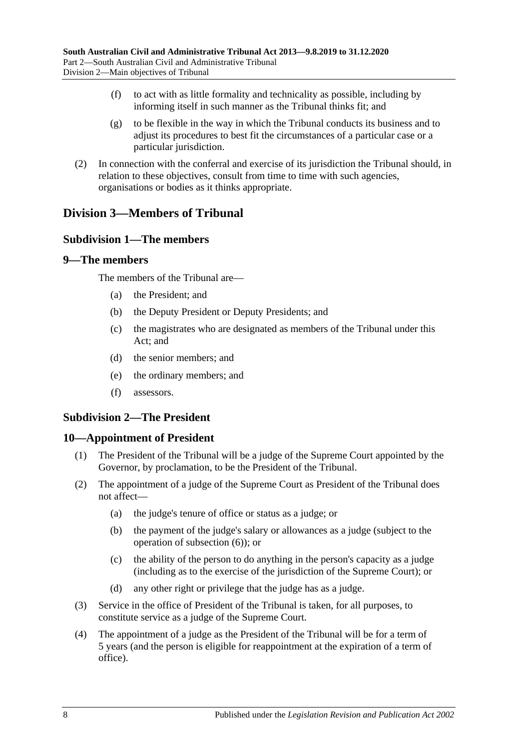- (f) to act with as little formality and technicality as possible, including by informing itself in such manner as the Tribunal thinks fit; and
- (g) to be flexible in the way in which the Tribunal conducts its business and to adjust its procedures to best fit the circumstances of a particular case or a particular jurisdiction.
- (2) In connection with the conferral and exercise of its jurisdiction the Tribunal should, in relation to these objectives, consult from time to time with such agencies, organisations or bodies as it thinks appropriate.

# <span id="page-7-1"></span><span id="page-7-0"></span>**Division 3—Members of Tribunal**

# **Subdivision 1—The members**

### <span id="page-7-2"></span>**9—The members**

The members of the Tribunal are—

- (a) the President; and
- (b) the Deputy President or Deputy Presidents; and
- (c) the magistrates who are designated as members of the Tribunal under this Act; and
- (d) the senior members; and
- (e) the ordinary members; and
- (f) assessors.

# <span id="page-7-3"></span>**Subdivision 2—The President**

### <span id="page-7-4"></span>**10—Appointment of President**

- (1) The President of the Tribunal will be a judge of the Supreme Court appointed by the Governor, by proclamation, to be the President of the Tribunal.
- <span id="page-7-5"></span>(2) The appointment of a judge of the Supreme Court as President of the Tribunal does not affect—
	- (a) the judge's tenure of office or status as a judge; or
	- (b) the payment of the judge's salary or allowances as a judge (subject to the operation of [subsection](#page-8-1) (6)); or
	- (c) the ability of the person to do anything in the person's capacity as a judge (including as to the exercise of the jurisdiction of the Supreme Court); or
	- (d) any other right or privilege that the judge has as a judge.
- <span id="page-7-6"></span>(3) Service in the office of President of the Tribunal is taken, for all purposes, to constitute service as a judge of the Supreme Court.
- (4) The appointment of a judge as the President of the Tribunal will be for a term of 5 years (and the person is eligible for reappointment at the expiration of a term of office).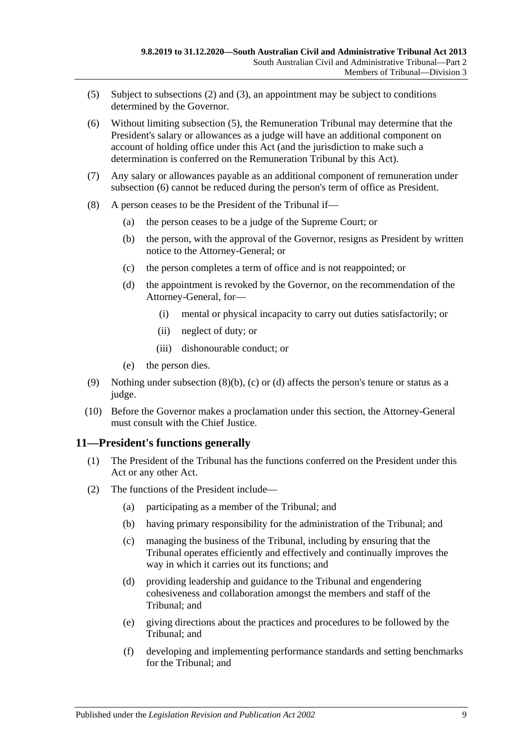- <span id="page-8-2"></span>(5) Subject to [subsections](#page-7-5) (2) and [\(3\),](#page-7-6) an appointment may be subject to conditions determined by the Governor.
- <span id="page-8-1"></span>(6) Without limiting [subsection](#page-8-2) (5), the Remuneration Tribunal may determine that the President's salary or allowances as a judge will have an additional component on account of holding office under this Act (and the jurisdiction to make such a determination is conferred on the Remuneration Tribunal by this Act).
- (7) Any salary or allowances payable as an additional component of remuneration under [subsection](#page-8-1) (6) cannot be reduced during the person's term of office as President.
- <span id="page-8-5"></span><span id="page-8-4"></span><span id="page-8-3"></span>(8) A person ceases to be the President of the Tribunal if—
	- (a) the person ceases to be a judge of the Supreme Court; or
	- (b) the person, with the approval of the Governor, resigns as President by written notice to the Attorney-General; or
	- (c) the person completes a term of office and is not reappointed; or
	- (d) the appointment is revoked by the Governor, on the recommendation of the Attorney-General, for—
		- (i) mental or physical incapacity to carry out duties satisfactorily; or
		- (ii) neglect of duty; or
		- (iii) dishonourable conduct; or
	- (e) the person dies.
- (9) Nothing under [subsection](#page-8-3) (8)(b), [\(c\)](#page-8-4) or [\(d\)](#page-8-5) affects the person's tenure or status as a judge.
- (10) Before the Governor makes a proclamation under this section, the Attorney-General must consult with the Chief Justice.

# <span id="page-8-0"></span>**11—President's functions generally**

- (1) The President of the Tribunal has the functions conferred on the President under this Act or any other Act.
- (2) The functions of the President include—
	- (a) participating as a member of the Tribunal; and
	- (b) having primary responsibility for the administration of the Tribunal; and
	- (c) managing the business of the Tribunal, including by ensuring that the Tribunal operates efficiently and effectively and continually improves the way in which it carries out its functions; and
	- (d) providing leadership and guidance to the Tribunal and engendering cohesiveness and collaboration amongst the members and staff of the Tribunal; and
	- (e) giving directions about the practices and procedures to be followed by the Tribunal; and
	- (f) developing and implementing performance standards and setting benchmarks for the Tribunal; and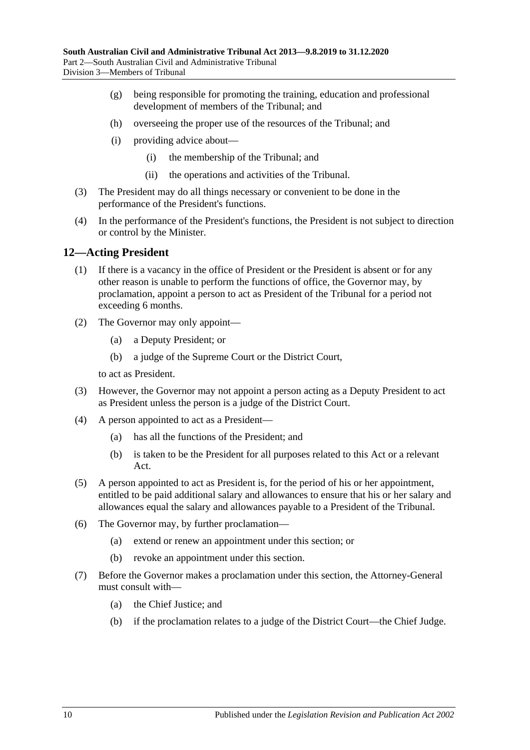- (g) being responsible for promoting the training, education and professional development of members of the Tribunal; and
- (h) overseeing the proper use of the resources of the Tribunal; and
- (i) providing advice about—
	- (i) the membership of the Tribunal; and
	- (ii) the operations and activities of the Tribunal.
- (3) The President may do all things necessary or convenient to be done in the performance of the President's functions.
- (4) In the performance of the President's functions, the President is not subject to direction or control by the Minister.

### <span id="page-9-0"></span>**12—Acting President**

- (1) If there is a vacancy in the office of President or the President is absent or for any other reason is unable to perform the functions of office, the Governor may, by proclamation, appoint a person to act as President of the Tribunal for a period not exceeding 6 months.
- (2) The Governor may only appoint—
	- (a) a Deputy President; or
	- (b) a judge of the Supreme Court or the District Court,

to act as President.

- (3) However, the Governor may not appoint a person acting as a Deputy President to act as President unless the person is a judge of the District Court.
- (4) A person appointed to act as a President—
	- (a) has all the functions of the President; and
	- (b) is taken to be the President for all purposes related to this Act or a relevant Act.
- (5) A person appointed to act as President is, for the period of his or her appointment, entitled to be paid additional salary and allowances to ensure that his or her salary and allowances equal the salary and allowances payable to a President of the Tribunal.
- (6) The Governor may, by further proclamation—
	- (a) extend or renew an appointment under this section; or
	- (b) revoke an appointment under this section.
- (7) Before the Governor makes a proclamation under this section, the Attorney-General must consult with—
	- (a) the Chief Justice; and
	- (b) if the proclamation relates to a judge of the District Court—the Chief Judge.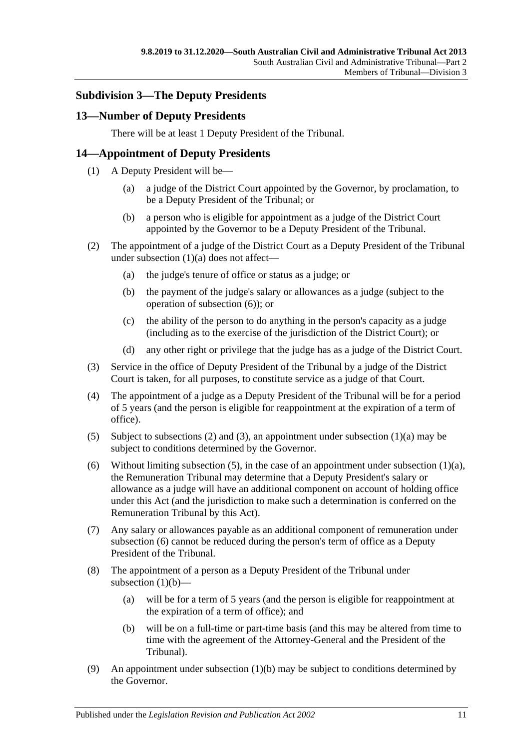# <span id="page-10-0"></span>**Subdivision 3—The Deputy Presidents**

# <span id="page-10-1"></span>**13—Number of Deputy Presidents**

There will be at least 1 Deputy President of the Tribunal.

# <span id="page-10-2"></span>**14—Appointment of Deputy Presidents**

- <span id="page-10-3"></span>(1) A Deputy President will be—
	- (a) a judge of the District Court appointed by the Governor, by proclamation, to be a Deputy President of the Tribunal; or
	- (b) a person who is eligible for appointment as a judge of the District Court appointed by the Governor to be a Deputy President of the Tribunal.
- <span id="page-10-8"></span><span id="page-10-5"></span>(2) The appointment of a judge of the District Court as a Deputy President of the Tribunal under [subsection](#page-10-3) (1)(a) does not affect—
	- (a) the judge's tenure of office or status as a judge; or
	- (b) the payment of the judge's salary or allowances as a judge (subject to the operation of [subsection](#page-10-4) (6)); or
	- (c) the ability of the person to do anything in the person's capacity as a judge (including as to the exercise of the jurisdiction of the District Court); or
	- (d) any other right or privilege that the judge has as a judge of the District Court.
- <span id="page-10-6"></span>(3) Service in the office of Deputy President of the Tribunal by a judge of the District Court is taken, for all purposes, to constitute service as a judge of that Court.
- (4) The appointment of a judge as a Deputy President of the Tribunal will be for a period of 5 years (and the person is eligible for reappointment at the expiration of a term of office).
- <span id="page-10-7"></span>(5) Subject to [subsections \(2\)](#page-10-5) and [\(3\),](#page-10-6) an appointment under [subsection](#page-10-3)  $(1)(a)$  may be subject to conditions determined by the Governor.
- <span id="page-10-4"></span>(6) Without limiting [subsection](#page-10-3) (5), in the case of an appointment under subsection  $(1)(a)$ , the Remuneration Tribunal may determine that a Deputy President's salary or allowance as a judge will have an additional component on account of holding office under this Act (and the jurisdiction to make such a determination is conferred on the Remuneration Tribunal by this Act).
- (7) Any salary or allowances payable as an additional component of remuneration under [subsection](#page-10-4) (6) cannot be reduced during the person's term of office as a Deputy President of the Tribunal.
- (8) The appointment of a person as a Deputy President of the Tribunal under [subsection](#page-10-8)  $(1)(b)$ —
	- (a) will be for a term of 5 years (and the person is eligible for reappointment at the expiration of a term of office); and
	- (b) will be on a full-time or part-time basis (and this may be altered from time to time with the agreement of the Attorney-General and the President of the Tribunal).
- <span id="page-10-10"></span><span id="page-10-9"></span>(9) An appointment under [subsection](#page-10-8)  $(1)(b)$  may be subject to conditions determined by the Governor.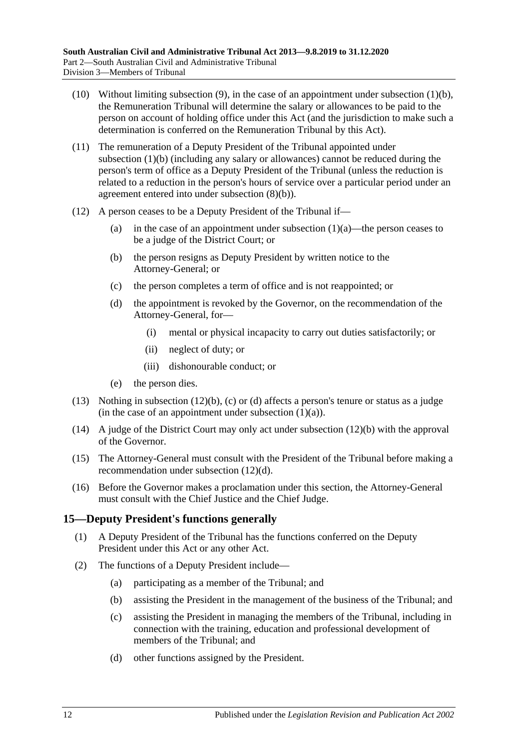- (10) Without limiting [subsection](#page-10-9) (9), in the case of an appointment under [subsection](#page-10-8) (1)(b), the Remuneration Tribunal will determine the salary or allowances to be paid to the person on account of holding office under this Act (and the jurisdiction to make such a determination is conferred on the Remuneration Tribunal by this Act).
- (11) The remuneration of a Deputy President of the Tribunal appointed under [subsection](#page-10-8) (1)(b) (including any salary or allowances) cannot be reduced during the person's term of office as a Deputy President of the Tribunal (unless the reduction is related to a reduction in the person's hours of service over a particular period under an agreement entered into under [subsection](#page-10-10) (8)(b)).
- <span id="page-11-3"></span><span id="page-11-2"></span><span id="page-11-1"></span>(12) A person ceases to be a Deputy President of the Tribunal if
	- (a) in the case of an appointment under [subsection](#page-10-3)  $(1)(a)$ —the person ceases to be a judge of the District Court; or
	- (b) the person resigns as Deputy President by written notice to the Attorney-General; or
	- (c) the person completes a term of office and is not reappointed; or
	- (d) the appointment is revoked by the Governor, on the recommendation of the Attorney-General, for—
		- (i) mental or physical incapacity to carry out duties satisfactorily; or
		- (ii) neglect of duty; or
		- (iii) dishonourable conduct; or
	- (e) the person dies.
- (13) Nothing in [subsection](#page-11-1) (12)(b), [\(c\)](#page-11-2) or [\(d\)](#page-11-3) affects a person's tenure or status as a judge (in the case of an appointment under [subsection](#page-10-3)  $(1)(a)$ ).
- (14) A judge of the District Court may only act under [subsection](#page-11-1) (12)(b) with the approval of the Governor.
- (15) The Attorney-General must consult with the President of the Tribunal before making a recommendation under [subsection](#page-11-3) (12)(d).
- (16) Before the Governor makes a proclamation under this section, the Attorney-General must consult with the Chief Justice and the Chief Judge.

# <span id="page-11-0"></span>**15—Deputy President's functions generally**

- (1) A Deputy President of the Tribunal has the functions conferred on the Deputy President under this Act or any other Act.
- (2) The functions of a Deputy President include—
	- (a) participating as a member of the Tribunal; and
	- (b) assisting the President in the management of the business of the Tribunal; and
	- (c) assisting the President in managing the members of the Tribunal, including in connection with the training, education and professional development of members of the Tribunal; and
	- (d) other functions assigned by the President.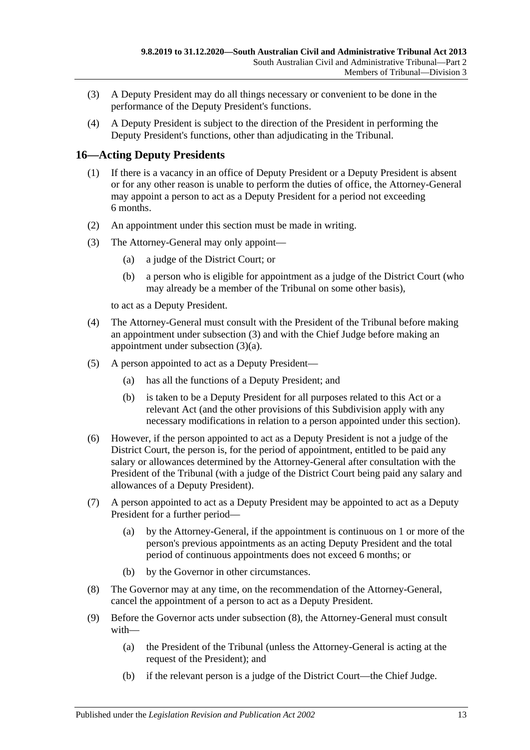- (3) A Deputy President may do all things necessary or convenient to be done in the performance of the Deputy President's functions.
- (4) A Deputy President is subject to the direction of the President in performing the Deputy President's functions, other than adjudicating in the Tribunal.

# <span id="page-12-0"></span>**16—Acting Deputy Presidents**

- (1) If there is a vacancy in an office of Deputy President or a Deputy President is absent or for any other reason is unable to perform the duties of office, the Attorney-General may appoint a person to act as a Deputy President for a period not exceeding 6 months.
- (2) An appointment under this section must be made in writing.
- <span id="page-12-2"></span><span id="page-12-1"></span>(3) The Attorney-General may only appoint—
	- (a) a judge of the District Court; or
	- (b) a person who is eligible for appointment as a judge of the District Court (who may already be a member of the Tribunal on some other basis),

to act as a Deputy President.

- (4) The Attorney-General must consult with the President of the Tribunal before making an appointment under [subsection](#page-12-1) (3) and with the Chief Judge before making an appointment under [subsection](#page-12-2) (3)(a).
- (5) A person appointed to act as a Deputy President—
	- (a) has all the functions of a Deputy President; and
	- (b) is taken to be a Deputy President for all purposes related to this Act or a relevant Act (and the other provisions of this Subdivision apply with any necessary modifications in relation to a person appointed under this section).
- (6) However, if the person appointed to act as a Deputy President is not a judge of the District Court, the person is, for the period of appointment, entitled to be paid any salary or allowances determined by the Attorney-General after consultation with the President of the Tribunal (with a judge of the District Court being paid any salary and allowances of a Deputy President).
- (7) A person appointed to act as a Deputy President may be appointed to act as a Deputy President for a further period—
	- (a) by the Attorney-General, if the appointment is continuous on 1 or more of the person's previous appointments as an acting Deputy President and the total period of continuous appointments does not exceed 6 months; or
	- (b) by the Governor in other circumstances.
- <span id="page-12-3"></span>(8) The Governor may at any time, on the recommendation of the Attorney-General, cancel the appointment of a person to act as a Deputy President.
- (9) Before the Governor acts under [subsection](#page-12-3) (8), the Attorney-General must consult with—
	- (a) the President of the Tribunal (unless the Attorney-General is acting at the request of the President); and
	- (b) if the relevant person is a judge of the District Court—the Chief Judge.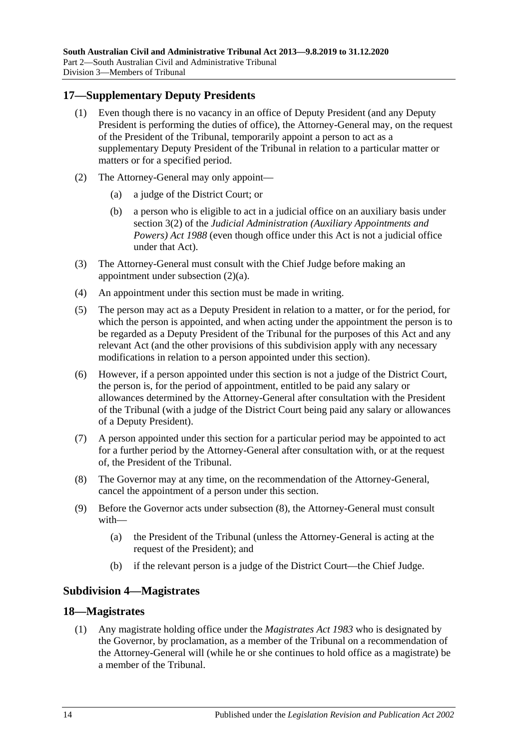# <span id="page-13-0"></span>**17—Supplementary Deputy Presidents**

- (1) Even though there is no vacancy in an office of Deputy President (and any Deputy President is performing the duties of office), the Attorney-General may, on the request of the President of the Tribunal, temporarily appoint a person to act as a supplementary Deputy President of the Tribunal in relation to a particular matter or matters or for a specified period.
- <span id="page-13-3"></span>(2) The Attorney-General may only appoint—
	- (a) a judge of the District Court; or
	- (b) a person who is eligible to act in a judicial office on an auxiliary basis under section 3(2) of the *[Judicial Administration \(Auxiliary Appointments and](http://www.legislation.sa.gov.au/index.aspx?action=legref&type=act&legtitle=Judicial%20Administration%20(Auxiliary%20Appointments%20and%20Powers)%20Act%201988)  [Powers\) Act](http://www.legislation.sa.gov.au/index.aspx?action=legref&type=act&legtitle=Judicial%20Administration%20(Auxiliary%20Appointments%20and%20Powers)%20Act%201988) 1988* (even though office under this Act is not a judicial office under that Act).
- (3) The Attorney-General must consult with the Chief Judge before making an appointment under [subsection](#page-13-3) (2)(a).
- (4) An appointment under this section must be made in writing.
- (5) The person may act as a Deputy President in relation to a matter, or for the period, for which the person is appointed, and when acting under the appointment the person is to be regarded as a Deputy President of the Tribunal for the purposes of this Act and any relevant Act (and the other provisions of this subdivision apply with any necessary modifications in relation to a person appointed under this section).
- (6) However, if a person appointed under this section is not a judge of the District Court, the person is, for the period of appointment, entitled to be paid any salary or allowances determined by the Attorney-General after consultation with the President of the Tribunal (with a judge of the District Court being paid any salary or allowances of a Deputy President).
- (7) A person appointed under this section for a particular period may be appointed to act for a further period by the Attorney-General after consultation with, or at the request of, the President of the Tribunal.
- <span id="page-13-4"></span>(8) The Governor may at any time, on the recommendation of the Attorney-General, cancel the appointment of a person under this section.
- (9) Before the Governor acts under [subsection](#page-13-4) (8), the Attorney-General must consult with—
	- (a) the President of the Tribunal (unless the Attorney-General is acting at the request of the President); and
	- (b) if the relevant person is a judge of the District Court—the Chief Judge.

### <span id="page-13-1"></span>**Subdivision 4—Magistrates**

### <span id="page-13-5"></span><span id="page-13-2"></span>**18—Magistrates**

(1) Any magistrate holding office under the *[Magistrates Act](http://www.legislation.sa.gov.au/index.aspx?action=legref&type=act&legtitle=Magistrates%20Act%201983) 1983* who is designated by the Governor, by proclamation, as a member of the Tribunal on a recommendation of the Attorney-General will (while he or she continues to hold office as a magistrate) be a member of the Tribunal.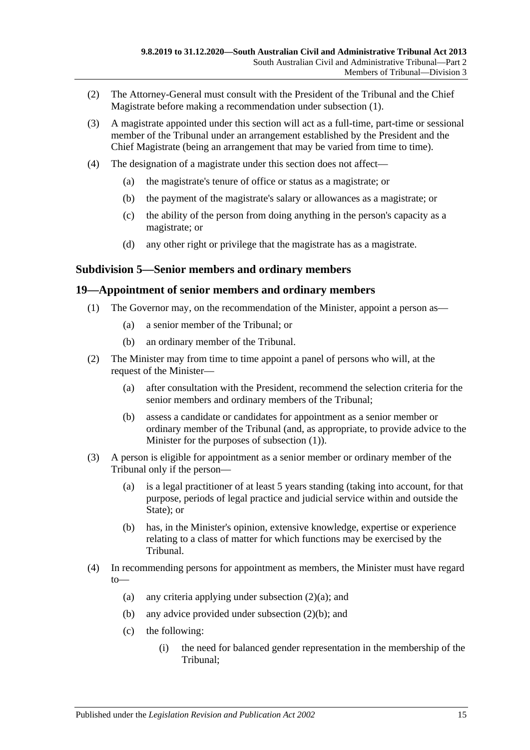- (2) The Attorney-General must consult with the President of the Tribunal and the Chief Magistrate before making a recommendation under [subsection](#page-13-5) (1).
- (3) A magistrate appointed under this section will act as a full-time, part-time or sessional member of the Tribunal under an arrangement established by the President and the Chief Magistrate (being an arrangement that may be varied from time to time).
- (4) The designation of a magistrate under this section does not affect—
	- (a) the magistrate's tenure of office or status as a magistrate; or
	- (b) the payment of the magistrate's salary or allowances as a magistrate; or
	- (c) the ability of the person from doing anything in the person's capacity as a magistrate; or
	- (d) any other right or privilege that the magistrate has as a magistrate.

### <span id="page-14-0"></span>**Subdivision 5—Senior members and ordinary members**

### <span id="page-14-2"></span><span id="page-14-1"></span>**19—Appointment of senior members and ordinary members**

- (1) The Governor may, on the recommendation of the Minister, appoint a person as—
	- (a) a senior member of the Tribunal; or
	- (b) an ordinary member of the Tribunal.
- <span id="page-14-5"></span><span id="page-14-3"></span>(2) The Minister may from time to time appoint a panel of persons who will, at the request of the Minister—
	- (a) after consultation with the President, recommend the selection criteria for the senior members and ordinary members of the Tribunal;
	- (b) assess a candidate or candidates for appointment as a senior member or ordinary member of the Tribunal (and, as appropriate, to provide advice to the Minister for the purposes of [subsection](#page-14-2) (1)).
- <span id="page-14-4"></span>(3) A person is eligible for appointment as a senior member or ordinary member of the Tribunal only if the person—
	- (a) is a legal practitioner of at least 5 years standing (taking into account, for that purpose, periods of legal practice and judicial service within and outside the State); or
	- (b) has, in the Minister's opinion, extensive knowledge, expertise or experience relating to a class of matter for which functions may be exercised by the Tribunal.
- (4) In recommending persons for appointment as members, the Minister must have regard to
	- (a) any criteria applying under [subsection](#page-14-3)  $(2)(a)$ ; and
	- (b) any advice provided under [subsection](#page-14-4) (2)(b); and
	- (c) the following:
		- (i) the need for balanced gender representation in the membership of the Tribunal;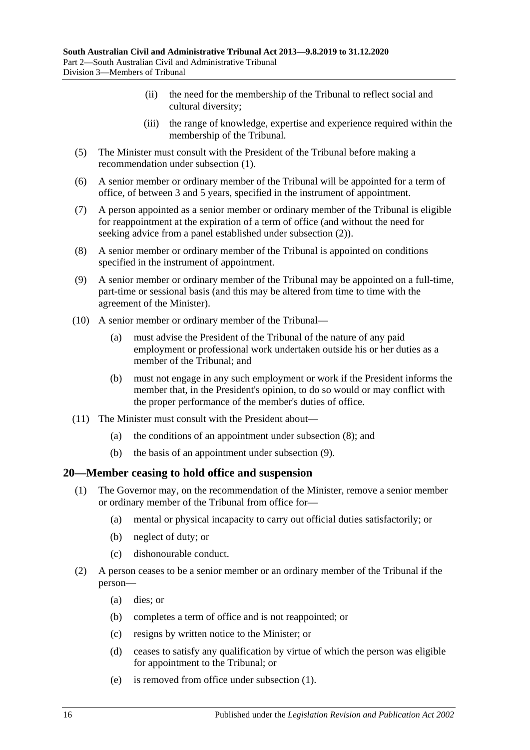- (ii) the need for the membership of the Tribunal to reflect social and cultural diversity;
- (iii) the range of knowledge, expertise and experience required within the membership of the Tribunal.
- (5) The Minister must consult with the President of the Tribunal before making a recommendation under [subsection](#page-14-2) (1).
- (6) A senior member or ordinary member of the Tribunal will be appointed for a term of office, of between 3 and 5 years, specified in the instrument of appointment.
- (7) A person appointed as a senior member or ordinary member of the Tribunal is eligible for reappointment at the expiration of a term of office (and without the need for seeking advice from a panel established under [subsection](#page-14-5) (2)).
- <span id="page-15-1"></span>(8) A senior member or ordinary member of the Tribunal is appointed on conditions specified in the instrument of appointment.
- <span id="page-15-2"></span>(9) A senior member or ordinary member of the Tribunal may be appointed on a full-time, part-time or sessional basis (and this may be altered from time to time with the agreement of the Minister).
- (10) A senior member or ordinary member of the Tribunal—
	- (a) must advise the President of the Tribunal of the nature of any paid employment or professional work undertaken outside his or her duties as a member of the Tribunal; and
	- (b) must not engage in any such employment or work if the President informs the member that, in the President's opinion, to do so would or may conflict with the proper performance of the member's duties of office.
- (11) The Minister must consult with the President about—
	- (a) the conditions of an appointment under [subsection](#page-15-1) (8); and
	- (b) the basis of an appointment under [subsection](#page-15-2) (9).

### <span id="page-15-3"></span><span id="page-15-0"></span>**20—Member ceasing to hold office and suspension**

- (1) The Governor may, on the recommendation of the Minister, remove a senior member or ordinary member of the Tribunal from office for—
	- (a) mental or physical incapacity to carry out official duties satisfactorily; or
	- (b) neglect of duty; or
	- (c) dishonourable conduct.
- (2) A person ceases to be a senior member or an ordinary member of the Tribunal if the person—
	- (a) dies; or
	- (b) completes a term of office and is not reappointed; or
	- (c) resigns by written notice to the Minister; or
	- (d) ceases to satisfy any qualification by virtue of which the person was eligible for appointment to the Tribunal; or
	- (e) is removed from office under [subsection](#page-15-3) (1).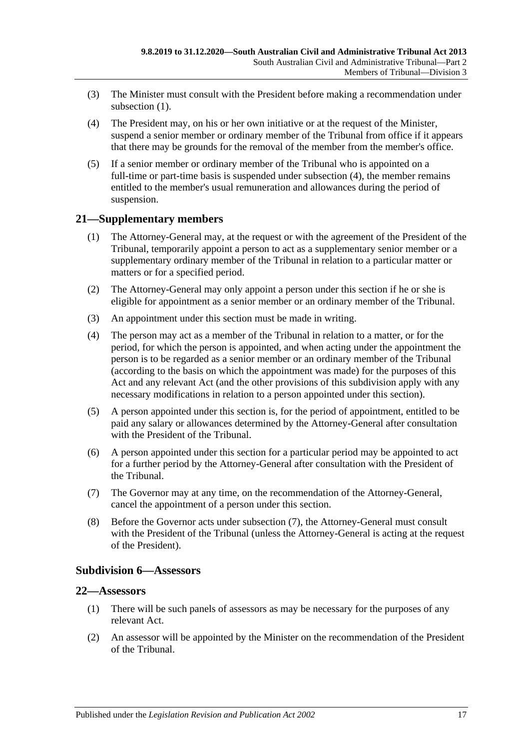- (3) The Minister must consult with the President before making a recommendation under [subsection](#page-15-3) (1).
- <span id="page-16-3"></span>(4) The President may, on his or her own initiative or at the request of the Minister, suspend a senior member or ordinary member of the Tribunal from office if it appears that there may be grounds for the removal of the member from the member's office.
- (5) If a senior member or ordinary member of the Tribunal who is appointed on a full-time or part-time basis is suspended under [subsection](#page-16-3) (4), the member remains entitled to the member's usual remuneration and allowances during the period of suspension.

# <span id="page-16-0"></span>**21—Supplementary members**

- (1) The Attorney-General may, at the request or with the agreement of the President of the Tribunal, temporarily appoint a person to act as a supplementary senior member or a supplementary ordinary member of the Tribunal in relation to a particular matter or matters or for a specified period.
- (2) The Attorney-General may only appoint a person under this section if he or she is eligible for appointment as a senior member or an ordinary member of the Tribunal.
- (3) An appointment under this section must be made in writing.
- (4) The person may act as a member of the Tribunal in relation to a matter, or for the period, for which the person is appointed, and when acting under the appointment the person is to be regarded as a senior member or an ordinary member of the Tribunal (according to the basis on which the appointment was made) for the purposes of this Act and any relevant Act (and the other provisions of this subdivision apply with any necessary modifications in relation to a person appointed under this section).
- (5) A person appointed under this section is, for the period of appointment, entitled to be paid any salary or allowances determined by the Attorney-General after consultation with the President of the Tribunal.
- (6) A person appointed under this section for a particular period may be appointed to act for a further period by the Attorney-General after consultation with the President of the Tribunal.
- <span id="page-16-4"></span>(7) The Governor may at any time, on the recommendation of the Attorney-General, cancel the appointment of a person under this section.
- (8) Before the Governor acts under [subsection](#page-16-4) (7), the Attorney-General must consult with the President of the Tribunal (unless the Attorney-General is acting at the request of the President).

### <span id="page-16-1"></span>**Subdivision 6—Assessors**

### <span id="page-16-2"></span>**22—Assessors**

- (1) There will be such panels of assessors as may be necessary for the purposes of any relevant Act.
- (2) An assessor will be appointed by the Minister on the recommendation of the President of the Tribunal.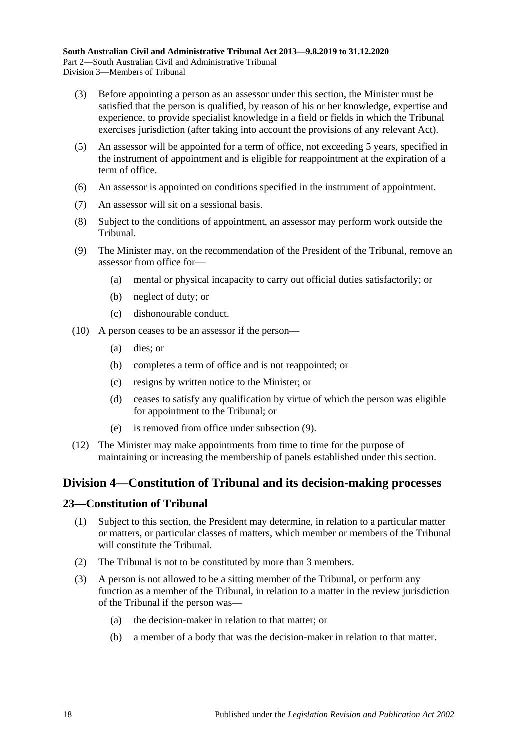- (3) Before appointing a person as an assessor under this section, the Minister must be satisfied that the person is qualified, by reason of his or her knowledge, expertise and experience, to provide specialist knowledge in a field or fields in which the Tribunal exercises jurisdiction (after taking into account the provisions of any relevant Act).
- (5) An assessor will be appointed for a term of office, not exceeding 5 years, specified in the instrument of appointment and is eligible for reappointment at the expiration of a term of office.
- (6) An assessor is appointed on conditions specified in the instrument of appointment.
- (7) An assessor will sit on a sessional basis.
- (8) Subject to the conditions of appointment, an assessor may perform work outside the Tribunal.
- <span id="page-17-2"></span>(9) The Minister may, on the recommendation of the President of the Tribunal, remove an assessor from office for—
	- (a) mental or physical incapacity to carry out official duties satisfactorily; or
	- (b) neglect of duty; or
	- (c) dishonourable conduct.
- (10) A person ceases to be an assessor if the person—
	- (a) dies; or
	- (b) completes a term of office and is not reappointed; or
	- (c) resigns by written notice to the Minister; or
	- (d) ceases to satisfy any qualification by virtue of which the person was eligible for appointment to the Tribunal; or
	- (e) is removed from office under [subsection](#page-17-2) (9).
- (12) The Minister may make appointments from time to time for the purpose of maintaining or increasing the membership of panels established under this section.

# <span id="page-17-0"></span>**Division 4—Constitution of Tribunal and its decision-making processes**

### <span id="page-17-1"></span>**23—Constitution of Tribunal**

- (1) Subject to this section, the President may determine, in relation to a particular matter or matters, or particular classes of matters, which member or members of the Tribunal will constitute the Tribunal.
- (2) The Tribunal is not to be constituted by more than 3 members.
- (3) A person is not allowed to be a sitting member of the Tribunal, or perform any function as a member of the Tribunal, in relation to a matter in the review jurisdiction of the Tribunal if the person was—
	- (a) the decision-maker in relation to that matter; or
	- (b) a member of a body that was the decision-maker in relation to that matter.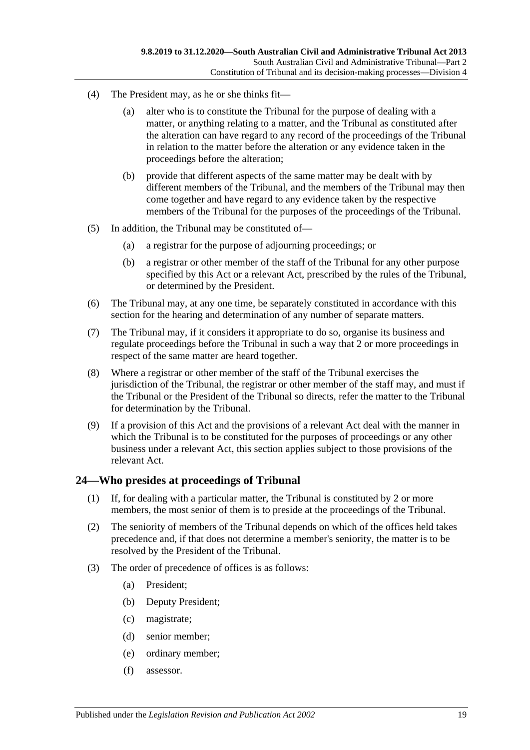- (4) The President may, as he or she thinks fit—
	- (a) alter who is to constitute the Tribunal for the purpose of dealing with a matter, or anything relating to a matter, and the Tribunal as constituted after the alteration can have regard to any record of the proceedings of the Tribunal in relation to the matter before the alteration or any evidence taken in the proceedings before the alteration;
	- (b) provide that different aspects of the same matter may be dealt with by different members of the Tribunal, and the members of the Tribunal may then come together and have regard to any evidence taken by the respective members of the Tribunal for the purposes of the proceedings of the Tribunal.
- (5) In addition, the Tribunal may be constituted of—
	- (a) a registrar for the purpose of adjourning proceedings; or
	- (b) a registrar or other member of the staff of the Tribunal for any other purpose specified by this Act or a relevant Act, prescribed by the rules of the Tribunal, or determined by the President.
- (6) The Tribunal may, at any one time, be separately constituted in accordance with this section for the hearing and determination of any number of separate matters.
- (7) The Tribunal may, if it considers it appropriate to do so, organise its business and regulate proceedings before the Tribunal in such a way that 2 or more proceedings in respect of the same matter are heard together.
- (8) Where a registrar or other member of the staff of the Tribunal exercises the jurisdiction of the Tribunal, the registrar or other member of the staff may, and must if the Tribunal or the President of the Tribunal so directs, refer the matter to the Tribunal for determination by the Tribunal.
- (9) If a provision of this Act and the provisions of a relevant Act deal with the manner in which the Tribunal is to be constituted for the purposes of proceedings or any other business under a relevant Act, this section applies subject to those provisions of the relevant Act.

# <span id="page-18-0"></span>**24—Who presides at proceedings of Tribunal**

- (1) If, for dealing with a particular matter, the Tribunal is constituted by 2 or more members, the most senior of them is to preside at the proceedings of the Tribunal.
- (2) The seniority of members of the Tribunal depends on which of the offices held takes precedence and, if that does not determine a member's seniority, the matter is to be resolved by the President of the Tribunal.
- (3) The order of precedence of offices is as follows:
	- (a) President;
	- (b) Deputy President;
	- (c) magistrate;
	- (d) senior member;
	- (e) ordinary member;
	- (f) assessor.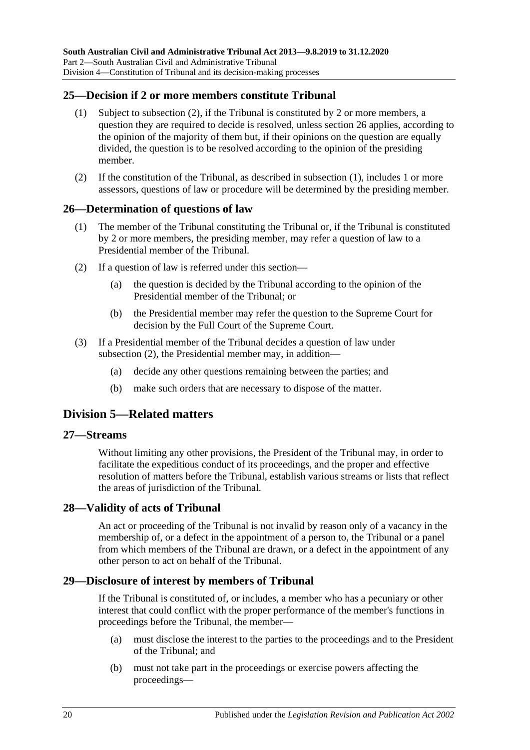# <span id="page-19-7"></span><span id="page-19-0"></span>**25—Decision if 2 or more members constitute Tribunal**

- (1) Subject to [subsection](#page-19-6) (2), if the Tribunal is constituted by 2 or more members, a question they are required to decide is resolved, unless [section](#page-19-1) 26 applies, according to the opinion of the majority of them but, if their opinions on the question are equally divided, the question is to be resolved according to the opinion of the presiding member.
- <span id="page-19-6"></span>(2) If the constitution of the Tribunal, as described in [subsection](#page-19-7) (1), includes 1 or more assessors, questions of law or procedure will be determined by the presiding member.

# <span id="page-19-1"></span>**26—Determination of questions of law**

- (1) The member of the Tribunal constituting the Tribunal or, if the Tribunal is constituted by 2 or more members, the presiding member, may refer a question of law to a Presidential member of the Tribunal.
- <span id="page-19-8"></span>(2) If a question of law is referred under this section—
	- (a) the question is decided by the Tribunal according to the opinion of the Presidential member of the Tribunal; or
	- (b) the Presidential member may refer the question to the Supreme Court for decision by the Full Court of the Supreme Court.
- (3) If a Presidential member of the Tribunal decides a question of law under [subsection](#page-19-8) (2), the Presidential member may, in addition—
	- (a) decide any other questions remaining between the parties; and
	- (b) make such orders that are necessary to dispose of the matter.

# <span id="page-19-2"></span>**Division 5—Related matters**

### <span id="page-19-3"></span>**27—Streams**

Without limiting any other provisions, the President of the Tribunal may, in order to facilitate the expeditious conduct of its proceedings, and the proper and effective resolution of matters before the Tribunal, establish various streams or lists that reflect the areas of jurisdiction of the Tribunal.

# <span id="page-19-4"></span>**28—Validity of acts of Tribunal**

An act or proceeding of the Tribunal is not invalid by reason only of a vacancy in the membership of, or a defect in the appointment of a person to, the Tribunal or a panel from which members of the Tribunal are drawn, or a defect in the appointment of any other person to act on behalf of the Tribunal.

# <span id="page-19-5"></span>**29—Disclosure of interest by members of Tribunal**

If the Tribunal is constituted of, or includes, a member who has a pecuniary or other interest that could conflict with the proper performance of the member's functions in proceedings before the Tribunal, the member—

- (a) must disclose the interest to the parties to the proceedings and to the President of the Tribunal; and
- (b) must not take part in the proceedings or exercise powers affecting the proceedings—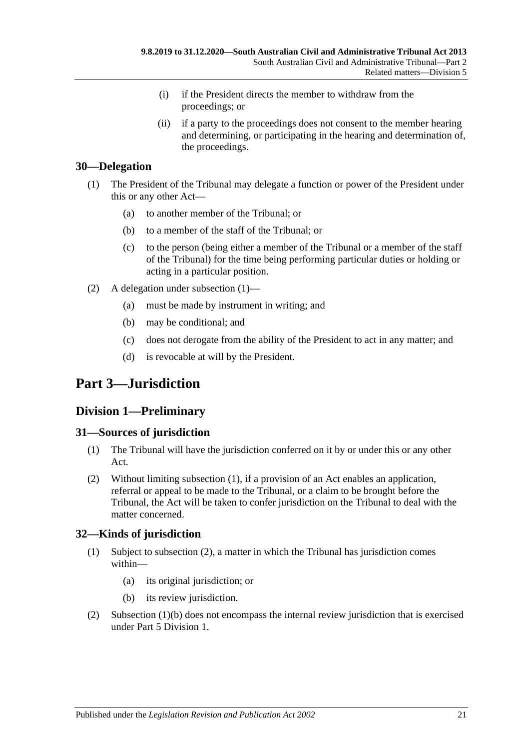- (i) if the President directs the member to withdraw from the proceedings; or
- (ii) if a party to the proceedings does not consent to the member hearing and determining, or participating in the hearing and determination of, the proceedings.

# <span id="page-20-5"></span><span id="page-20-0"></span>**30—Delegation**

- (1) The President of the Tribunal may delegate a function or power of the President under this or any other Act—
	- (a) to another member of the Tribunal; or
	- (b) to a member of the staff of the Tribunal; or
	- (c) to the person (being either a member of the Tribunal or a member of the staff of the Tribunal) for the time being performing particular duties or holding or acting in a particular position.
- (2) A delegation under [subsection](#page-20-5) (1)—
	- (a) must be made by instrument in writing; and
	- (b) may be conditional; and
	- (c) does not derogate from the ability of the President to act in any matter; and
	- (d) is revocable at will by the President.

# <span id="page-20-1"></span>**Part 3—Jurisdiction**

# <span id="page-20-2"></span>**Division 1—Preliminary**

# <span id="page-20-6"></span><span id="page-20-3"></span>**31—Sources of jurisdiction**

- (1) The Tribunal will have the jurisdiction conferred on it by or under this or any other Act.
- (2) Without limiting [subsection](#page-20-6) (1), if a provision of an Act enables an application, referral or appeal to be made to the Tribunal, or a claim to be brought before the Tribunal, the Act will be taken to confer jurisdiction on the Tribunal to deal with the matter concerned.

# <span id="page-20-4"></span>**32—Kinds of jurisdiction**

- (1) Subject to [subsection](#page-20-7) (2), a matter in which the Tribunal has jurisdiction comes within—
	- (a) its original jurisdiction; or
	- (b) its review jurisdiction.
- <span id="page-20-8"></span><span id="page-20-7"></span>(2) [Subsection](#page-20-8) (1)(b) does not encompass the internal review jurisdiction that is exercised under Part [5 Division](#page-41-5) 1.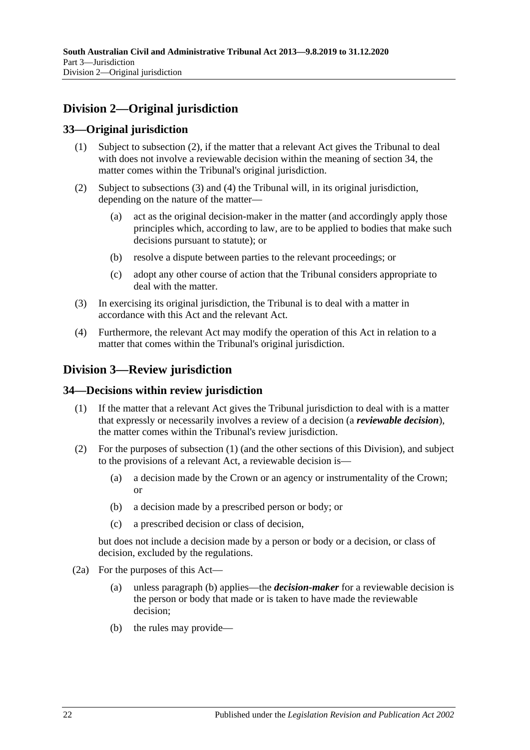# <span id="page-21-0"></span>**Division 2—Original jurisdiction**

# <span id="page-21-1"></span>**33—Original jurisdiction**

- (1) Subject to subsection (2), if the matter that a relevant Act gives the Tribunal to deal with does not involve a reviewable decision within the meaning of [section](#page-21-3) 34, the matter comes within the Tribunal's original jurisdiction.
- (2) Subject to [subsections](#page-21-4) (3) and [\(4\)](#page-21-5) the Tribunal will, in its original jurisdiction, depending on the nature of the matter—
	- (a) act as the original decision-maker in the matter (and accordingly apply those principles which, according to law, are to be applied to bodies that make such decisions pursuant to statute); or
	- (b) resolve a dispute between parties to the relevant proceedings; or
	- (c) adopt any other course of action that the Tribunal considers appropriate to deal with the matter.
- <span id="page-21-4"></span>(3) In exercising its original jurisdiction, the Tribunal is to deal with a matter in accordance with this Act and the relevant Act.
- <span id="page-21-5"></span>(4) Furthermore, the relevant Act may modify the operation of this Act in relation to a matter that comes within the Tribunal's original jurisdiction.

# <span id="page-21-2"></span>**Division 3—Review jurisdiction**

# <span id="page-21-6"></span><span id="page-21-3"></span>**34—Decisions within review jurisdiction**

- (1) If the matter that a relevant Act gives the Tribunal jurisdiction to deal with is a matter that expressly or necessarily involves a review of a decision (a *reviewable decision*), the matter comes within the Tribunal's review jurisdiction.
- (2) For the purposes of [subsection](#page-21-6) (1) (and the other sections of this Division), and subject to the provisions of a relevant Act, a reviewable decision is—
	- (a) a decision made by the Crown or an agency or instrumentality of the Crown; or
	- (b) a decision made by a prescribed person or body; or
	- (c) a prescribed decision or class of decision,

but does not include a decision made by a person or body or a decision, or class of decision, excluded by the regulations.

- <span id="page-21-8"></span><span id="page-21-7"></span>(2a) For the purposes of this Act—
	- (a) unless [paragraph](#page-21-7) (b) applies—the *decision-maker* for a reviewable decision is the person or body that made or is taken to have made the reviewable decision;
	- (b) the rules may provide—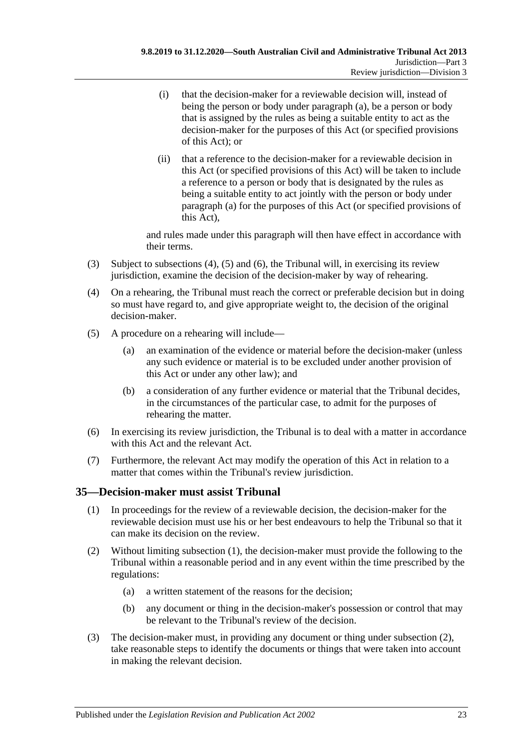- (i) that the decision-maker for a reviewable decision will, instead of being the person or body under [paragraph](#page-21-8) (a), be a person or body that is assigned by the rules as being a suitable entity to act as the decision-maker for the purposes of this Act (or specified provisions of this Act); or
- (ii) that a reference to the decision-maker for a reviewable decision in this Act (or specified provisions of this Act) will be taken to include a reference to a person or body that is designated by the rules as being a suitable entity to act jointly with the person or body under [paragraph](#page-21-8) (a) for the purposes of this Act (or specified provisions of this Act),

and rules made under this paragraph will then have effect in accordance with their terms.

- (3) Subject to [subsections \(4\),](#page-22-1) [\(5\)](#page-22-2) and [\(6\),](#page-22-3) the Tribunal will, in exercising its review jurisdiction, examine the decision of the decision-maker by way of rehearing.
- <span id="page-22-1"></span>(4) On a rehearing, the Tribunal must reach the correct or preferable decision but in doing so must have regard to, and give appropriate weight to, the decision of the original decision-maker.
- <span id="page-22-2"></span>(5) A procedure on a rehearing will include—
	- (a) an examination of the evidence or material before the decision-maker (unless any such evidence or material is to be excluded under another provision of this Act or under any other law); and
	- (b) a consideration of any further evidence or material that the Tribunal decides, in the circumstances of the particular case, to admit for the purposes of rehearing the matter.
- <span id="page-22-3"></span>(6) In exercising its review jurisdiction, the Tribunal is to deal with a matter in accordance with this Act and the relevant Act.
- (7) Furthermore, the relevant Act may modify the operation of this Act in relation to a matter that comes within the Tribunal's review jurisdiction.

# <span id="page-22-4"></span><span id="page-22-0"></span>**35—Decision-maker must assist Tribunal**

- (1) In proceedings for the review of a reviewable decision, the decision-maker for the reviewable decision must use his or her best endeavours to help the Tribunal so that it can make its decision on the review.
- <span id="page-22-6"></span><span id="page-22-5"></span>(2) Without limiting [subsection](#page-22-4) (1), the decision-maker must provide the following to the Tribunal within a reasonable period and in any event within the time prescribed by the regulations:
	- (a) a written statement of the reasons for the decision;
	- (b) any document or thing in the decision-maker's possession or control that may be relevant to the Tribunal's review of the decision.
- (3) The decision-maker must, in providing any document or thing under [subsection](#page-22-5) (2), take reasonable steps to identify the documents or things that were taken into account in making the relevant decision.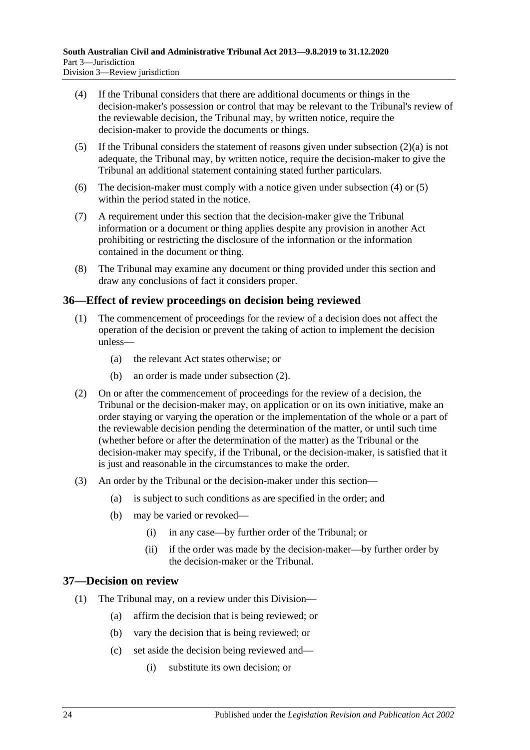- <span id="page-23-2"></span>(4) If the Tribunal considers that there are additional documents or things in the decision-maker's possession or control that may be relevant to the Tribunal's review of the reviewable decision, the Tribunal may, by written notice, require the decision-maker to provide the documents or things.
- <span id="page-23-3"></span>(5) If the Tribunal considers the statement of reasons given under [subsection](#page-22-6)  $(2)(a)$  is not adequate, the Tribunal may, by written notice, require the decision-maker to give the Tribunal an additional statement containing stated further particulars.
- (6) The decision-maker must comply with a notice given under [subsection](#page-23-2) (4) or [\(5\)](#page-23-3) within the period stated in the notice.
- (7) A requirement under this section that the decision-maker give the Tribunal information or a document or thing applies despite any provision in another Act prohibiting or restricting the disclosure of the information or the information contained in the document or thing.
- (8) The Tribunal may examine any document or thing provided under this section and draw any conclusions of fact it considers proper.

# <span id="page-23-0"></span>**36—Effect of review proceedings on decision being reviewed**

- (1) The commencement of proceedings for the review of a decision does not affect the operation of the decision or prevent the taking of action to implement the decision unless—
	- (a) the relevant Act states otherwise; or
	- (b) an order is made under [subsection](#page-23-4) (2).
- <span id="page-23-4"></span>(2) On or after the commencement of proceedings for the review of a decision, the Tribunal or the decision-maker may, on application or on its own initiative, make an order staying or varying the operation or the implementation of the whole or a part of the reviewable decision pending the determination of the matter, or until such time (whether before or after the determination of the matter) as the Tribunal or the decision-maker may specify, if the Tribunal, or the decision-maker, is satisfied that it is just and reasonable in the circumstances to make the order.
- (3) An order by the Tribunal or the decision-maker under this section—
	- (a) is subject to such conditions as are specified in the order; and
	- (b) may be varied or revoked—
		- (i) in any case—by further order of the Tribunal; or
		- (ii) if the order was made by the decision-maker—by further order by the decision-maker or the Tribunal.

# <span id="page-23-1"></span>**37—Decision on review**

- (1) The Tribunal may, on a review under this Division—
	- (a) affirm the decision that is being reviewed; or
	- (b) vary the decision that is being reviewed; or
	- (c) set aside the decision being reviewed and—
		- (i) substitute its own decision; or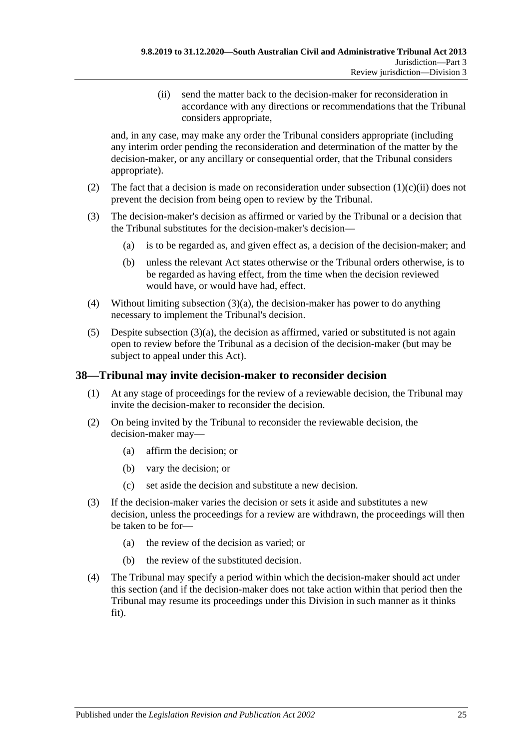(ii) send the matter back to the decision-maker for reconsideration in accordance with any directions or recommendations that the Tribunal considers appropriate,

<span id="page-24-1"></span>and, in any case, may make any order the Tribunal considers appropriate (including any interim order pending the reconsideration and determination of the matter by the decision-maker, or any ancillary or consequential order, that the Tribunal considers appropriate).

- (2) The fact that a decision is made on reconsideration under [subsection](#page-24-1)  $(1)(c)(ii)$  does not prevent the decision from being open to review by the Tribunal.
- <span id="page-24-2"></span>(3) The decision-maker's decision as affirmed or varied by the Tribunal or a decision that the Tribunal substitutes for the decision-maker's decision—
	- (a) is to be regarded as, and given effect as, a decision of the decision-maker; and
	- (b) unless the relevant Act states otherwise or the Tribunal orders otherwise, is to be regarded as having effect, from the time when the decision reviewed would have, or would have had, effect.
- (4) Without limiting [subsection](#page-24-2) (3)(a), the decision-maker has power to do anything necessary to implement the Tribunal's decision.
- (5) Despite [subsection](#page-24-2)  $(3)(a)$ , the decision as affirmed, varied or substituted is not again open to review before the Tribunal as a decision of the decision-maker (but may be subject to appeal under this Act).

# <span id="page-24-0"></span>**38—Tribunal may invite decision-maker to reconsider decision**

- (1) At any stage of proceedings for the review of a reviewable decision, the Tribunal may invite the decision-maker to reconsider the decision.
- (2) On being invited by the Tribunal to reconsider the reviewable decision, the decision-maker may—
	- (a) affirm the decision; or
	- (b) vary the decision; or
	- (c) set aside the decision and substitute a new decision.
- (3) If the decision-maker varies the decision or sets it aside and substitutes a new decision, unless the proceedings for a review are withdrawn, the proceedings will then be taken to be for—
	- (a) the review of the decision as varied; or
	- (b) the review of the substituted decision.
- (4) The Tribunal may specify a period within which the decision-maker should act under this section (and if the decision-maker does not take action within that period then the Tribunal may resume its proceedings under this Division in such manner as it thinks fit).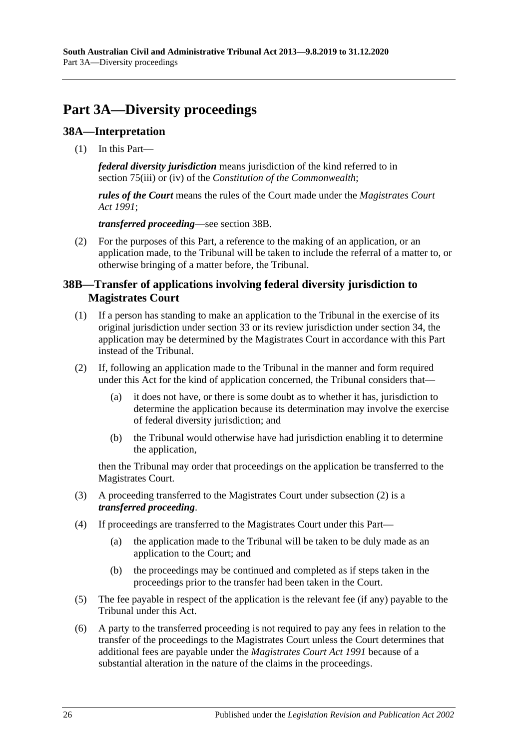# <span id="page-25-0"></span>**Part 3A—Diversity proceedings**

# <span id="page-25-1"></span>**38A—Interpretation**

(1) In this Part—

*federal diversity jurisdiction* means jurisdiction of the kind referred to in section 75(iii) or (iv) of the *Constitution of the Commonwealth*;

*rules of the Court* means the rules of the Court made under the *[Magistrates Court](http://www.legislation.sa.gov.au/index.aspx?action=legref&type=act&legtitle=Magistrates%20Court%20Act%201991)  Act [1991](http://www.legislation.sa.gov.au/index.aspx?action=legref&type=act&legtitle=Magistrates%20Court%20Act%201991)*;

*transferred proceeding*—see [section](#page-25-2) 38B.

(2) For the purposes of this Part, a reference to the making of an application, or an application made, to the Tribunal will be taken to include the referral of a matter to, or otherwise bringing of a matter before, the Tribunal.

# <span id="page-25-2"></span>**38B—Transfer of applications involving federal diversity jurisdiction to Magistrates Court**

- (1) If a person has standing to make an application to the Tribunal in the exercise of its original jurisdiction under [section](#page-21-1) 33 or its review jurisdiction under [section](#page-21-3) 34, the application may be determined by the Magistrates Court in accordance with this Part instead of the Tribunal.
- <span id="page-25-3"></span>(2) If, following an application made to the Tribunal in the manner and form required under this Act for the kind of application concerned, the Tribunal considers that—
	- (a) it does not have, or there is some doubt as to whether it has, jurisdiction to determine the application because its determination may involve the exercise of federal diversity jurisdiction; and
	- (b) the Tribunal would otherwise have had jurisdiction enabling it to determine the application,

then the Tribunal may order that proceedings on the application be transferred to the Magistrates Court.

- (3) A proceeding transferred to the Magistrates Court under [subsection](#page-25-3) (2) is a *transferred proceeding*.
- (4) If proceedings are transferred to the Magistrates Court under this Part—
	- (a) the application made to the Tribunal will be taken to be duly made as an application to the Court; and
	- (b) the proceedings may be continued and completed as if steps taken in the proceedings prior to the transfer had been taken in the Court.
- (5) The fee payable in respect of the application is the relevant fee (if any) payable to the Tribunal under this Act.
- (6) A party to the transferred proceeding is not required to pay any fees in relation to the transfer of the proceedings to the Magistrates Court unless the Court determines that additional fees are payable under the *[Magistrates Court Act](http://www.legislation.sa.gov.au/index.aspx?action=legref&type=act&legtitle=Magistrates%20Court%20Act%201991) 1991* because of a substantial alteration in the nature of the claims in the proceedings.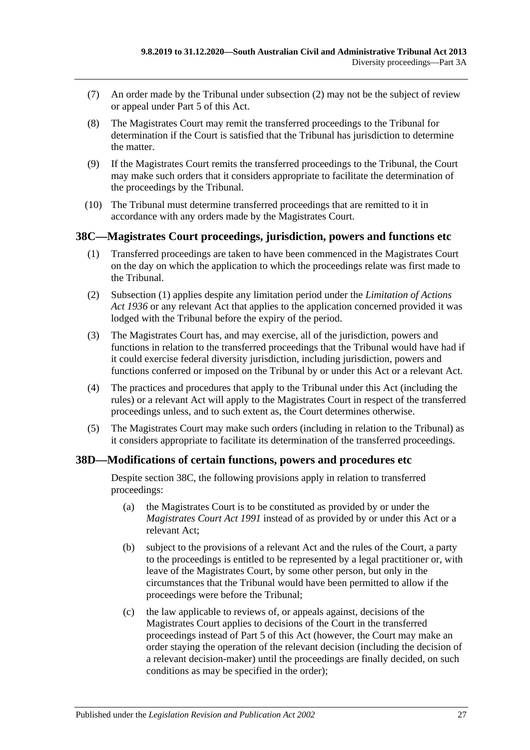- (7) An order made by the Tribunal under [subsection](#page-25-3) (2) may not be the subject of review or appeal under [Part](#page-41-4) 5 of this Act.
- (8) The Magistrates Court may remit the transferred proceedings to the Tribunal for determination if the Court is satisfied that the Tribunal has jurisdiction to determine the matter.
- (9) If the Magistrates Court remits the transferred proceedings to the Tribunal, the Court may make such orders that it considers appropriate to facilitate the determination of the proceedings by the Tribunal.
- (10) The Tribunal must determine transferred proceedings that are remitted to it in accordance with any orders made by the Magistrates Court.

### <span id="page-26-2"></span><span id="page-26-0"></span>**38C—Magistrates Court proceedings, jurisdiction, powers and functions etc**

- (1) Transferred proceedings are taken to have been commenced in the Magistrates Court on the day on which the application to which the proceedings relate was first made to the Tribunal.
- (2) [Subsection](#page-26-2) (1) applies despite any limitation period under the *[Limitation of Actions](http://www.legislation.sa.gov.au/index.aspx?action=legref&type=act&legtitle=Limitation%20of%20Actions%20Act%201936)  Act [1936](http://www.legislation.sa.gov.au/index.aspx?action=legref&type=act&legtitle=Limitation%20of%20Actions%20Act%201936)* or any relevant Act that applies to the application concerned provided it was lodged with the Tribunal before the expiry of the period.
- (3) The Magistrates Court has, and may exercise, all of the jurisdiction, powers and functions in relation to the transferred proceedings that the Tribunal would have had if it could exercise federal diversity jurisdiction, including jurisdiction, powers and functions conferred or imposed on the Tribunal by or under this Act or a relevant Act.
- (4) The practices and procedures that apply to the Tribunal under this Act (including the rules) or a relevant Act will apply to the Magistrates Court in respect of the transferred proceedings unless, and to such extent as, the Court determines otherwise.
- (5) The Magistrates Court may make such orders (including in relation to the Tribunal) as it considers appropriate to facilitate its determination of the transferred proceedings.

# <span id="page-26-1"></span>**38D—Modifications of certain functions, powers and procedures etc**

Despite [section](#page-26-0) 38C, the following provisions apply in relation to transferred proceedings:

- (a) the Magistrates Court is to be constituted as provided by or under the *[Magistrates Court Act](http://www.legislation.sa.gov.au/index.aspx?action=legref&type=act&legtitle=Magistrates%20Court%20Act%201991) 1991* instead of as provided by or under this Act or a relevant Act;
- (b) subject to the provisions of a relevant Act and the rules of the Court, a party to the proceedings is entitled to be represented by a legal practitioner or, with leave of the Magistrates Court, by some other person, but only in the circumstances that the Tribunal would have been permitted to allow if the proceedings were before the Tribunal;
- (c) the law applicable to reviews of, or appeals against, decisions of the Magistrates Court applies to decisions of the Court in the transferred proceedings instead of [Part](#page-41-4) 5 of this Act (however, the Court may make an order staying the operation of the relevant decision (including the decision of a relevant decision-maker) until the proceedings are finally decided, on such conditions as may be specified in the order);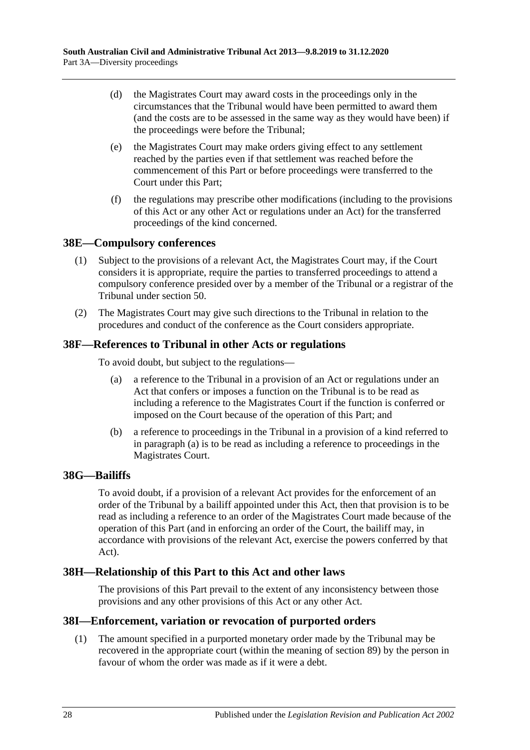- (d) the Magistrates Court may award costs in the proceedings only in the circumstances that the Tribunal would have been permitted to award them (and the costs are to be assessed in the same way as they would have been) if the proceedings were before the Tribunal;
- (e) the Magistrates Court may make orders giving effect to any settlement reached by the parties even if that settlement was reached before the commencement of this Part or before proceedings were transferred to the Court under this Part;
- (f) the regulations may prescribe other modifications (including to the provisions of this Act or any other Act or regulations under an Act) for the transferred proceedings of the kind concerned.

# <span id="page-27-0"></span>**38E—Compulsory conferences**

- (1) Subject to the provisions of a relevant Act, the Magistrates Court may, if the Court considers it is appropriate, require the parties to transferred proceedings to attend a compulsory conference presided over by a member of the Tribunal or a registrar of the Tribunal under [section](#page-33-1) 50.
- (2) The Magistrates Court may give such directions to the Tribunal in relation to the procedures and conduct of the conference as the Court considers appropriate.

# <span id="page-27-5"></span><span id="page-27-1"></span>**38F—References to Tribunal in other Acts or regulations**

To avoid doubt, but subject to the regulations—

- (a) a reference to the Tribunal in a provision of an Act or regulations under an Act that confers or imposes a function on the Tribunal is to be read as including a reference to the Magistrates Court if the function is conferred or imposed on the Court because of the operation of this Part; and
- (b) a reference to proceedings in the Tribunal in a provision of a kind referred to in [paragraph](#page-27-5) (a) is to be read as including a reference to proceedings in the Magistrates Court.

### <span id="page-27-2"></span>**38G—Bailiffs**

To avoid doubt, if a provision of a relevant Act provides for the enforcement of an order of the Tribunal by a bailiff appointed under this Act, then that provision is to be read as including a reference to an order of the Magistrates Court made because of the operation of this Part (and in enforcing an order of the Court, the bailiff may, in accordance with provisions of the relevant Act, exercise the powers conferred by that Act).

# <span id="page-27-3"></span>**38H—Relationship of this Part to this Act and other laws**

The provisions of this Part prevail to the extent of any inconsistency between those provisions and any other provisions of this Act or any other Act.

### <span id="page-27-4"></span>**38I—Enforcement, variation or revocation of purported orders**

(1) The amount specified in a purported monetary order made by the Tribunal may be recovered in the appropriate court (within the meaning of [section](#page-49-1) 89) by the person in favour of whom the order was made as if it were a debt.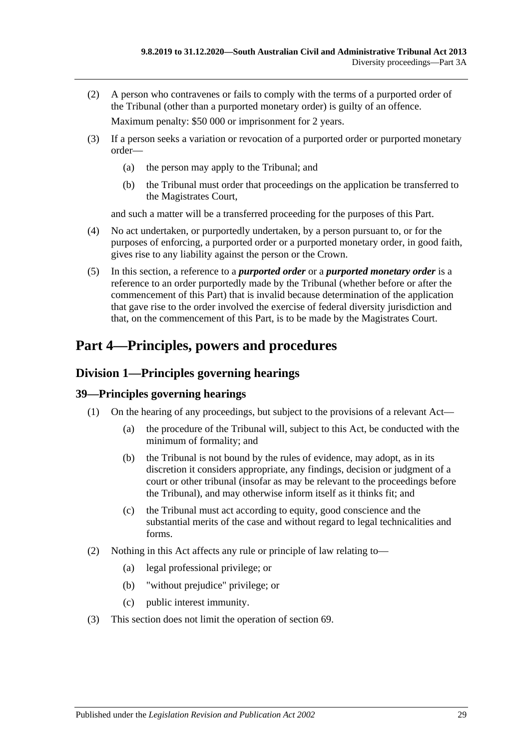(2) A person who contravenes or fails to comply with the terms of a purported order of the Tribunal (other than a purported monetary order) is guilty of an offence.

Maximum penalty: \$50 000 or imprisonment for 2 years.

- (3) If a person seeks a variation or revocation of a purported order or purported monetary order—
	- (a) the person may apply to the Tribunal; and
	- (b) the Tribunal must order that proceedings on the application be transferred to the Magistrates Court,

and such a matter will be a transferred proceeding for the purposes of this Part.

- (4) No act undertaken, or purportedly undertaken, by a person pursuant to, or for the purposes of enforcing, a purported order or a purported monetary order, in good faith, gives rise to any liability against the person or the Crown.
- (5) In this section, a reference to a *purported order* or a *purported monetary order* is a reference to an order purportedly made by the Tribunal (whether before or after the commencement of this Part) that is invalid because determination of the application that gave rise to the order involved the exercise of federal diversity jurisdiction and that, on the commencement of this Part, is to be made by the Magistrates Court.

# <span id="page-28-0"></span>**Part 4—Principles, powers and procedures**

# <span id="page-28-1"></span>**Division 1—Principles governing hearings**

# <span id="page-28-2"></span>**39—Principles governing hearings**

- (1) On the hearing of any proceedings, but subject to the provisions of a relevant Act—
	- (a) the procedure of the Tribunal will, subject to this Act, be conducted with the minimum of formality; and
	- (b) the Tribunal is not bound by the rules of evidence, may adopt, as in its discretion it considers appropriate, any findings, decision or judgment of a court or other tribunal (insofar as may be relevant to the proceedings before the Tribunal), and may otherwise inform itself as it thinks fit; and
	- (c) the Tribunal must act according to equity, good conscience and the substantial merits of the case and without regard to legal technicalities and forms.
- (2) Nothing in this Act affects any rule or principle of law relating to—
	- (a) legal professional privilege; or
	- (b) "without prejudice" privilege; or
	- (c) public interest immunity.
- (3) This section does not limit the operation of [section](#page-41-3) 69.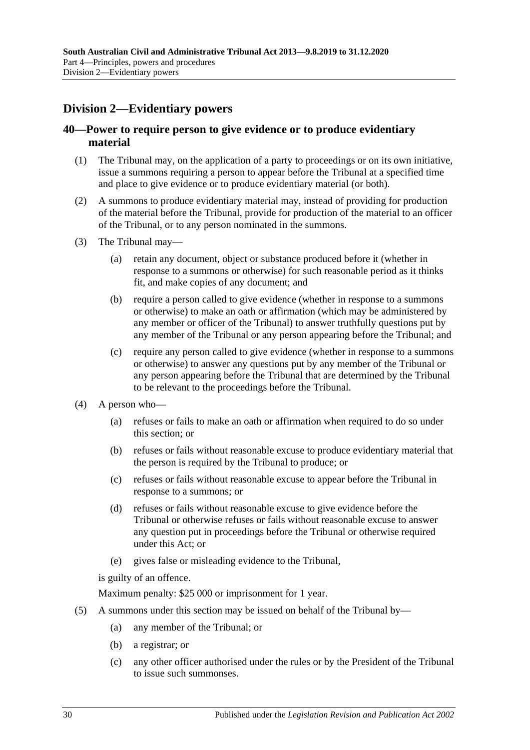# <span id="page-29-0"></span>**Division 2—Evidentiary powers**

# <span id="page-29-1"></span>**40—Power to require person to give evidence or to produce evidentiary material**

- (1) The Tribunal may, on the application of a party to proceedings or on its own initiative, issue a summons requiring a person to appear before the Tribunal at a specified time and place to give evidence or to produce evidentiary material (or both).
- (2) A summons to produce evidentiary material may, instead of providing for production of the material before the Tribunal, provide for production of the material to an officer of the Tribunal, or to any person nominated in the summons.
- (3) The Tribunal may—
	- (a) retain any document, object or substance produced before it (whether in response to a summons or otherwise) for such reasonable period as it thinks fit, and make copies of any document; and
	- (b) require a person called to give evidence (whether in response to a summons or otherwise) to make an oath or affirmation (which may be administered by any member or officer of the Tribunal) to answer truthfully questions put by any member of the Tribunal or any person appearing before the Tribunal; and
	- (c) require any person called to give evidence (whether in response to a summons or otherwise) to answer any questions put by any member of the Tribunal or any person appearing before the Tribunal that are determined by the Tribunal to be relevant to the proceedings before the Tribunal.
- (4) A person who—
	- (a) refuses or fails to make an oath or affirmation when required to do so under this section; or
	- (b) refuses or fails without reasonable excuse to produce evidentiary material that the person is required by the Tribunal to produce; or
	- (c) refuses or fails without reasonable excuse to appear before the Tribunal in response to a summons; or
	- (d) refuses or fails without reasonable excuse to give evidence before the Tribunal or otherwise refuses or fails without reasonable excuse to answer any question put in proceedings before the Tribunal or otherwise required under this Act; or
	- (e) gives false or misleading evidence to the Tribunal,

is guilty of an offence.

Maximum penalty: \$25 000 or imprisonment for 1 year.

- (5) A summons under this section may be issued on behalf of the Tribunal by—
	- (a) any member of the Tribunal; or
	- (b) a registrar; or
	- (c) any other officer authorised under the rules or by the President of the Tribunal to issue such summonses.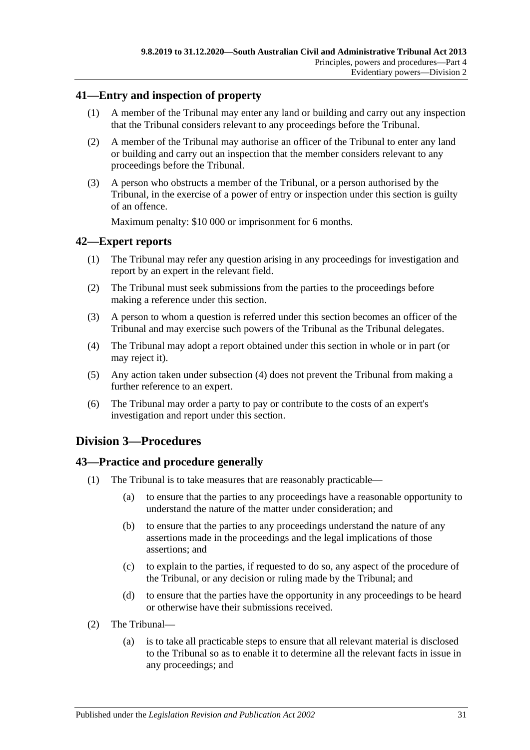# <span id="page-30-0"></span>**41—Entry and inspection of property**

- (1) A member of the Tribunal may enter any land or building and carry out any inspection that the Tribunal considers relevant to any proceedings before the Tribunal.
- (2) A member of the Tribunal may authorise an officer of the Tribunal to enter any land or building and carry out an inspection that the member considers relevant to any proceedings before the Tribunal.
- (3) A person who obstructs a member of the Tribunal, or a person authorised by the Tribunal, in the exercise of a power of entry or inspection under this section is guilty of an offence.

Maximum penalty: \$10 000 or imprisonment for 6 months.

# <span id="page-30-1"></span>**42—Expert reports**

- (1) The Tribunal may refer any question arising in any proceedings for investigation and report by an expert in the relevant field.
- (2) The Tribunal must seek submissions from the parties to the proceedings before making a reference under this section.
- (3) A person to whom a question is referred under this section becomes an officer of the Tribunal and may exercise such powers of the Tribunal as the Tribunal delegates.
- <span id="page-30-4"></span>(4) The Tribunal may adopt a report obtained under this section in whole or in part (or may reject it).
- (5) Any action taken under [subsection](#page-30-4) (4) does not prevent the Tribunal from making a further reference to an expert.
- (6) The Tribunal may order a party to pay or contribute to the costs of an expert's investigation and report under this section.

# <span id="page-30-2"></span>**Division 3—Procedures**

# <span id="page-30-3"></span>**43—Practice and procedure generally**

- (1) The Tribunal is to take measures that are reasonably practicable—
	- (a) to ensure that the parties to any proceedings have a reasonable opportunity to understand the nature of the matter under consideration; and
	- (b) to ensure that the parties to any proceedings understand the nature of any assertions made in the proceedings and the legal implications of those assertions; and
	- (c) to explain to the parties, if requested to do so, any aspect of the procedure of the Tribunal, or any decision or ruling made by the Tribunal; and
	- (d) to ensure that the parties have the opportunity in any proceedings to be heard or otherwise have their submissions received.
- (2) The Tribunal—
	- (a) is to take all practicable steps to ensure that all relevant material is disclosed to the Tribunal so as to enable it to determine all the relevant facts in issue in any proceedings; and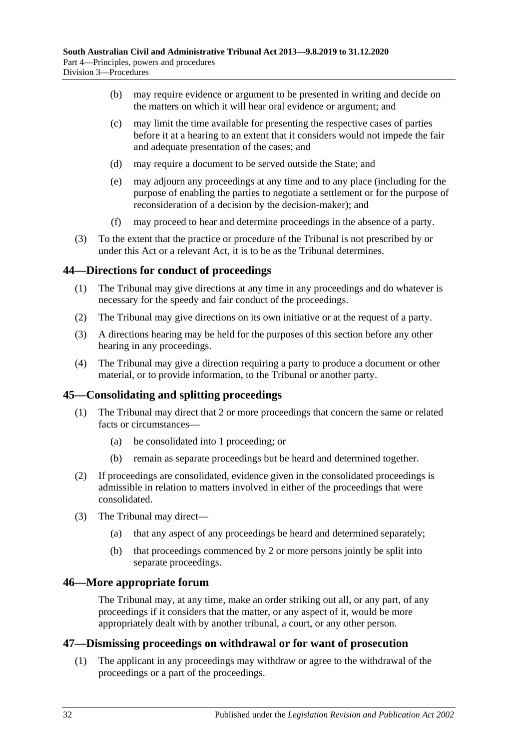- (b) may require evidence or argument to be presented in writing and decide on the matters on which it will hear oral evidence or argument; and
- (c) may limit the time available for presenting the respective cases of parties before it at a hearing to an extent that it considers would not impede the fair and adequate presentation of the cases; and
- (d) may require a document to be served outside the State; and
- (e) may adjourn any proceedings at any time and to any place (including for the purpose of enabling the parties to negotiate a settlement or for the purpose of reconsideration of a decision by the decision-maker); and
- (f) may proceed to hear and determine proceedings in the absence of a party.
- (3) To the extent that the practice or procedure of the Tribunal is not prescribed by or under this Act or a relevant Act, it is to be as the Tribunal determines.

# <span id="page-31-0"></span>**44—Directions for conduct of proceedings**

- (1) The Tribunal may give directions at any time in any proceedings and do whatever is necessary for the speedy and fair conduct of the proceedings.
- (2) The Tribunal may give directions on its own initiative or at the request of a party.
- (3) A directions hearing may be held for the purposes of this section before any other hearing in any proceedings.
- (4) The Tribunal may give a direction requiring a party to produce a document or other material, or to provide information, to the Tribunal or another party.

# <span id="page-31-1"></span>**45—Consolidating and splitting proceedings**

- (1) The Tribunal may direct that 2 or more proceedings that concern the same or related facts or circumstances—
	- (a) be consolidated into 1 proceeding; or
	- (b) remain as separate proceedings but be heard and determined together.
- (2) If proceedings are consolidated, evidence given in the consolidated proceedings is admissible in relation to matters involved in either of the proceedings that were consolidated.
- (3) The Tribunal may direct—
	- (a) that any aspect of any proceedings be heard and determined separately;
	- (b) that proceedings commenced by 2 or more persons jointly be split into separate proceedings.

# <span id="page-31-2"></span>**46—More appropriate forum**

The Tribunal may, at any time, make an order striking out all, or any part, of any proceedings if it considers that the matter, or any aspect of it, would be more appropriately dealt with by another tribunal, a court, or any other person.

### <span id="page-31-4"></span><span id="page-31-3"></span>**47—Dismissing proceedings on withdrawal or for want of prosecution**

(1) The applicant in any proceedings may withdraw or agree to the withdrawal of the proceedings or a part of the proceedings.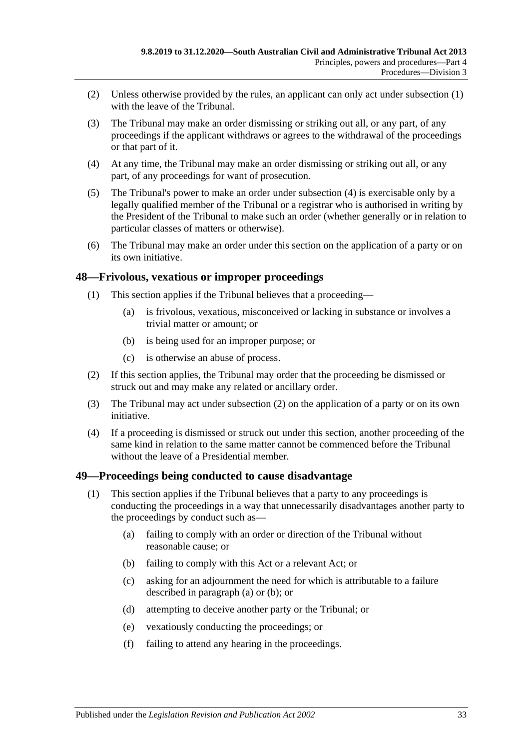- (2) Unless otherwise provided by the rules, an applicant can only act under [subsection](#page-31-4) (1) with the leave of the Tribunal.
- (3) The Tribunal may make an order dismissing or striking out all, or any part, of any proceedings if the applicant withdraws or agrees to the withdrawal of the proceedings or that part of it.
- <span id="page-32-2"></span>(4) At any time, the Tribunal may make an order dismissing or striking out all, or any part, of any proceedings for want of prosecution.
- (5) The Tribunal's power to make an order under [subsection](#page-32-2) (4) is exercisable only by a legally qualified member of the Tribunal or a registrar who is authorised in writing by the President of the Tribunal to make such an order (whether generally or in relation to particular classes of matters or otherwise).
- (6) The Tribunal may make an order under this section on the application of a party or on its own initiative.

### <span id="page-32-0"></span>**48—Frivolous, vexatious or improper proceedings**

- (1) This section applies if the Tribunal believes that a proceeding—
	- (a) is frivolous, vexatious, misconceived or lacking in substance or involves a trivial matter or amount; or
	- (b) is being used for an improper purpose; or
	- (c) is otherwise an abuse of process.
- <span id="page-32-3"></span>(2) If this section applies, the Tribunal may order that the proceeding be dismissed or struck out and may make any related or ancillary order.
- (3) The Tribunal may act under [subsection](#page-32-3) (2) on the application of a party or on its own initiative.
- (4) If a proceeding is dismissed or struck out under this section, another proceeding of the same kind in relation to the same matter cannot be commenced before the Tribunal without the leave of a Presidential member.

# <span id="page-32-1"></span>**49—Proceedings being conducted to cause disadvantage**

- <span id="page-32-5"></span><span id="page-32-4"></span>(1) This section applies if the Tribunal believes that a party to any proceedings is conducting the proceedings in a way that unnecessarily disadvantages another party to the proceedings by conduct such as—
	- (a) failing to comply with an order or direction of the Tribunal without reasonable cause; or
	- (b) failing to comply with this Act or a relevant Act; or
	- (c) asking for an adjournment the need for which is attributable to a failure described in [paragraph](#page-32-4) (a) or [\(b\);](#page-32-5) or
	- (d) attempting to deceive another party or the Tribunal; or
	- (e) vexatiously conducting the proceedings; or
	- (f) failing to attend any hearing in the proceedings.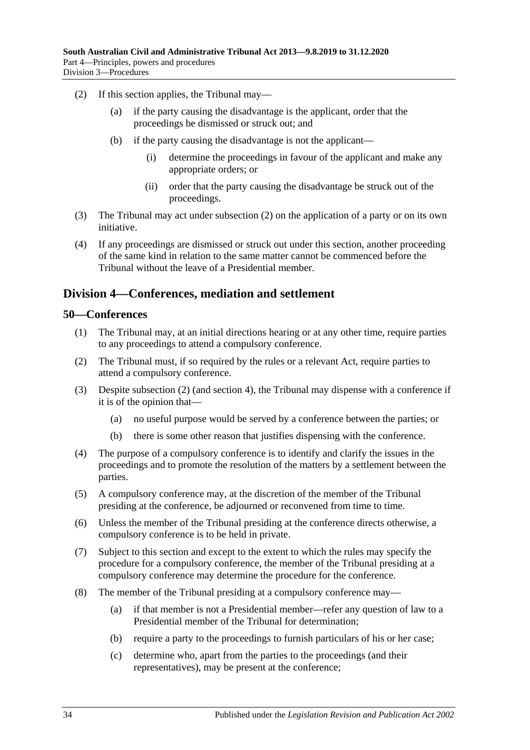- <span id="page-33-2"></span>(2) If this section applies, the Tribunal may—
	- (a) if the party causing the disadvantage is the applicant, order that the proceedings be dismissed or struck out; and
	- (b) if the party causing the disadvantage is not the applicant—
		- (i) determine the proceedings in favour of the applicant and make any appropriate orders; or
		- (ii) order that the party causing the disadvantage be struck out of the proceedings.
- (3) The Tribunal may act under [subsection](#page-33-2) (2) on the application of a party or on its own initiative.
- (4) If any proceedings are dismissed or struck out under this section, another proceeding of the same kind in relation to the same matter cannot be commenced before the Tribunal without the leave of a Presidential member.

# <span id="page-33-0"></span>**Division 4—Conferences, mediation and settlement**

### <span id="page-33-1"></span>**50—Conferences**

- (1) The Tribunal may, at an initial directions hearing or at any other time, require parties to any proceedings to attend a compulsory conference.
- <span id="page-33-3"></span>(2) The Tribunal must, if so required by the rules or a relevant Act, require parties to attend a compulsory conference.
- (3) Despite [subsection](#page-33-3) (2) (and [section](#page-6-0) 4), the Tribunal may dispense with a conference if it is of the opinion that—
	- (a) no useful purpose would be served by a conference between the parties; or
	- (b) there is some other reason that justifies dispensing with the conference.
- (4) The purpose of a compulsory conference is to identify and clarify the issues in the proceedings and to promote the resolution of the matters by a settlement between the parties.
- (5) A compulsory conference may, at the discretion of the member of the Tribunal presiding at the conference, be adjourned or reconvened from time to time.
- (6) Unless the member of the Tribunal presiding at the conference directs otherwise, a compulsory conference is to be held in private.
- (7) Subject to this section and except to the extent to which the rules may specify the procedure for a compulsory conference, the member of the Tribunal presiding at a compulsory conference may determine the procedure for the conference.
- <span id="page-33-4"></span>(8) The member of the Tribunal presiding at a compulsory conference may—
	- (a) if that member is not a Presidential member—refer any question of law to a Presidential member of the Tribunal for determination;
	- (b) require a party to the proceedings to furnish particulars of his or her case;
	- (c) determine who, apart from the parties to the proceedings (and their representatives), may be present at the conference;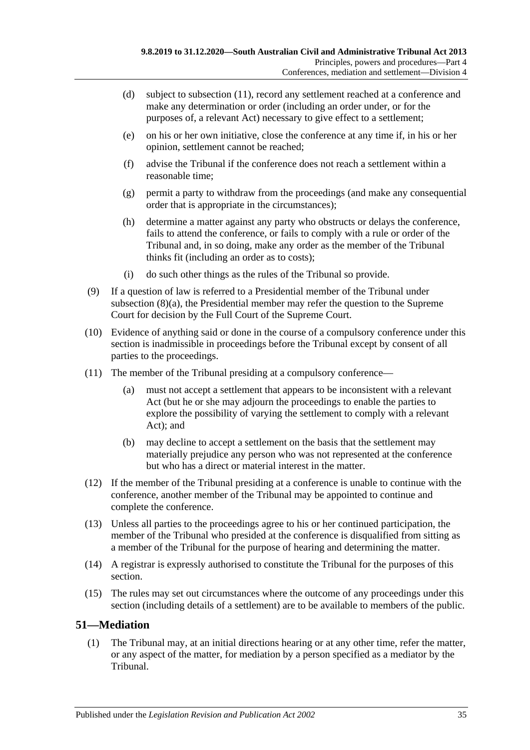- (d) subject to [subsection](#page-34-1) (11), record any settlement reached at a conference and make any determination or order (including an order under, or for the purposes of, a relevant Act) necessary to give effect to a settlement;
- (e) on his or her own initiative, close the conference at any time if, in his or her opinion, settlement cannot be reached;
- (f) advise the Tribunal if the conference does not reach a settlement within a reasonable time;
- (g) permit a party to withdraw from the proceedings (and make any consequential order that is appropriate in the circumstances);
- (h) determine a matter against any party who obstructs or delays the conference, fails to attend the conference, or fails to comply with a rule or order of the Tribunal and, in so doing, make any order as the member of the Tribunal thinks fit (including an order as to costs);
- (i) do such other things as the rules of the Tribunal so provide.
- (9) If a question of law is referred to a Presidential member of the Tribunal under [subsection](#page-33-4) (8)(a), the Presidential member may refer the question to the Supreme Court for decision by the Full Court of the Supreme Court.
- (10) Evidence of anything said or done in the course of a compulsory conference under this section is inadmissible in proceedings before the Tribunal except by consent of all parties to the proceedings.
- <span id="page-34-1"></span>(11) The member of the Tribunal presiding at a compulsory conference—
	- (a) must not accept a settlement that appears to be inconsistent with a relevant Act (but he or she may adjourn the proceedings to enable the parties to explore the possibility of varying the settlement to comply with a relevant Act); and
	- (b) may decline to accept a settlement on the basis that the settlement may materially prejudice any person who was not represented at the conference but who has a direct or material interest in the matter.
- (12) If the member of the Tribunal presiding at a conference is unable to continue with the conference, another member of the Tribunal may be appointed to continue and complete the conference.
- (13) Unless all parties to the proceedings agree to his or her continued participation, the member of the Tribunal who presided at the conference is disqualified from sitting as a member of the Tribunal for the purpose of hearing and determining the matter.
- (14) A registrar is expressly authorised to constitute the Tribunal for the purposes of this section.
- (15) The rules may set out circumstances where the outcome of any proceedings under this section (including details of a settlement) are to be available to members of the public.

# <span id="page-34-0"></span>**51—Mediation**

(1) The Tribunal may, at an initial directions hearing or at any other time, refer the matter, or any aspect of the matter, for mediation by a person specified as a mediator by the Tribunal.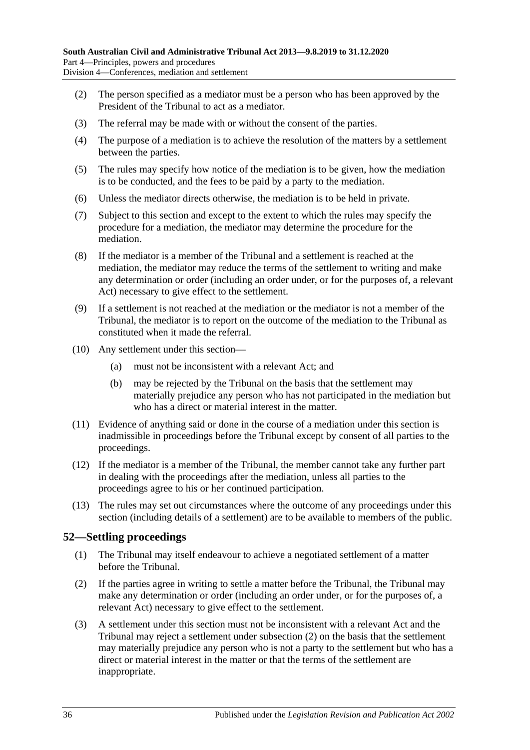- (2) The person specified as a mediator must be a person who has been approved by the President of the Tribunal to act as a mediator.
- (3) The referral may be made with or without the consent of the parties.
- (4) The purpose of a mediation is to achieve the resolution of the matters by a settlement between the parties.
- (5) The rules may specify how notice of the mediation is to be given, how the mediation is to be conducted, and the fees to be paid by a party to the mediation.
- (6) Unless the mediator directs otherwise, the mediation is to be held in private.
- (7) Subject to this section and except to the extent to which the rules may specify the procedure for a mediation, the mediator may determine the procedure for the mediation.
- (8) If the mediator is a member of the Tribunal and a settlement is reached at the mediation, the mediator may reduce the terms of the settlement to writing and make any determination or order (including an order under, or for the purposes of, a relevant Act) necessary to give effect to the settlement.
- (9) If a settlement is not reached at the mediation or the mediator is not a member of the Tribunal, the mediator is to report on the outcome of the mediation to the Tribunal as constituted when it made the referral.
- (10) Any settlement under this section—
	- (a) must not be inconsistent with a relevant Act; and
	- (b) may be rejected by the Tribunal on the basis that the settlement may materially prejudice any person who has not participated in the mediation but who has a direct or material interest in the matter.
- (11) Evidence of anything said or done in the course of a mediation under this section is inadmissible in proceedings before the Tribunal except by consent of all parties to the proceedings.
- (12) If the mediator is a member of the Tribunal, the member cannot take any further part in dealing with the proceedings after the mediation, unless all parties to the proceedings agree to his or her continued participation.
- (13) The rules may set out circumstances where the outcome of any proceedings under this section (including details of a settlement) are to be available to members of the public.

# <span id="page-35-0"></span>**52—Settling proceedings**

- (1) The Tribunal may itself endeavour to achieve a negotiated settlement of a matter before the Tribunal.
- <span id="page-35-1"></span>(2) If the parties agree in writing to settle a matter before the Tribunal, the Tribunal may make any determination or order (including an order under, or for the purposes of, a relevant Act) necessary to give effect to the settlement.
- (3) A settlement under this section must not be inconsistent with a relevant Act and the Tribunal may reject a settlement under [subsection](#page-35-1) (2) on the basis that the settlement may materially prejudice any person who is not a party to the settlement but who has a direct or material interest in the matter or that the terms of the settlement are inappropriate.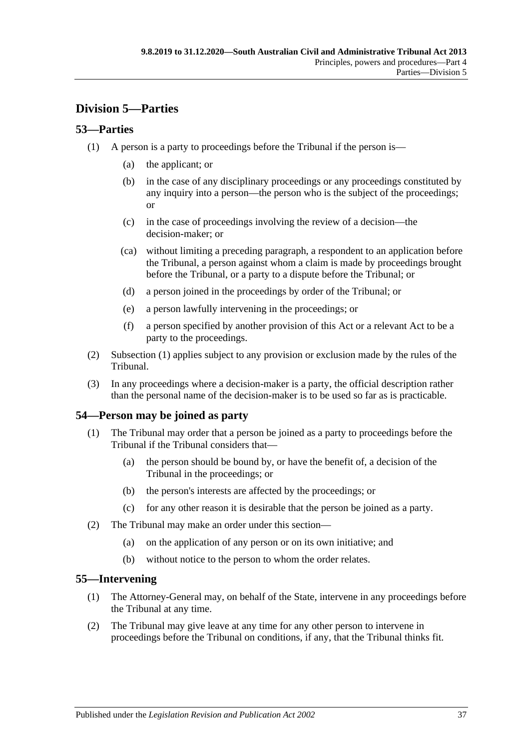# <span id="page-36-0"></span>**Division 5—Parties**

# <span id="page-36-4"></span><span id="page-36-1"></span>**53—Parties**

- (1) A person is a party to proceedings before the Tribunal if the person is—
	- (a) the applicant; or
	- (b) in the case of any disciplinary proceedings or any proceedings constituted by any inquiry into a person—the person who is the subject of the proceedings; or
	- (c) in the case of proceedings involving the review of a decision—the decision-maker; or
	- (ca) without limiting a preceding paragraph, a respondent to an application before the Tribunal, a person against whom a claim is made by proceedings brought before the Tribunal, or a party to a dispute before the Tribunal; or
	- (d) a person joined in the proceedings by order of the Tribunal; or
	- (e) a person lawfully intervening in the proceedings; or
	- (f) a person specified by another provision of this Act or a relevant Act to be a party to the proceedings.
- (2) [Subsection](#page-36-4) (1) applies subject to any provision or exclusion made by the rules of the Tribunal.
- (3) In any proceedings where a decision-maker is a party, the official description rather than the personal name of the decision-maker is to be used so far as is practicable.

# <span id="page-36-2"></span>**54—Person may be joined as party**

- (1) The Tribunal may order that a person be joined as a party to proceedings before the Tribunal if the Tribunal considers that—
	- (a) the person should be bound by, or have the benefit of, a decision of the Tribunal in the proceedings; or
	- (b) the person's interests are affected by the proceedings; or
	- (c) for any other reason it is desirable that the person be joined as a party.
- (2) The Tribunal may make an order under this section—
	- (a) on the application of any person or on its own initiative; and
	- (b) without notice to the person to whom the order relates.

### <span id="page-36-3"></span>**55—Intervening**

- (1) The Attorney-General may, on behalf of the State, intervene in any proceedings before the Tribunal at any time.
- (2) The Tribunal may give leave at any time for any other person to intervene in proceedings before the Tribunal on conditions, if any, that the Tribunal thinks fit.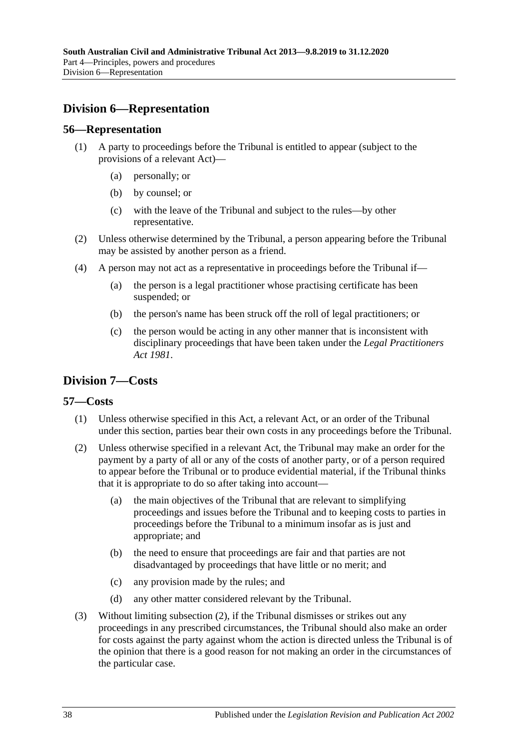# <span id="page-37-0"></span>**Division 6—Representation**

### <span id="page-37-1"></span>**56—Representation**

- (1) A party to proceedings before the Tribunal is entitled to appear (subject to the provisions of a relevant Act)—
	- (a) personally; or
	- (b) by counsel; or
	- (c) with the leave of the Tribunal and subject to the rules—by other representative.
- (2) Unless otherwise determined by the Tribunal, a person appearing before the Tribunal may be assisted by another person as a friend.
- (4) A person may not act as a representative in proceedings before the Tribunal if—
	- (a) the person is a legal practitioner whose practising certificate has been suspended; or
	- (b) the person's name has been struck off the roll of legal practitioners; or
	- (c) the person would be acting in any other manner that is inconsistent with disciplinary proceedings that have been taken under the *[Legal Practitioners](http://www.legislation.sa.gov.au/index.aspx?action=legref&type=act&legtitle=Legal%20Practitioners%20Act%201981)  Act [1981](http://www.legislation.sa.gov.au/index.aspx?action=legref&type=act&legtitle=Legal%20Practitioners%20Act%201981)*.

# <span id="page-37-2"></span>**Division 7—Costs**

### <span id="page-37-3"></span>**57—Costs**

- (1) Unless otherwise specified in this Act, a relevant Act, or an order of the Tribunal under this section, parties bear their own costs in any proceedings before the Tribunal.
- <span id="page-37-4"></span>(2) Unless otherwise specified in a relevant Act, the Tribunal may make an order for the payment by a party of all or any of the costs of another party, or of a person required to appear before the Tribunal or to produce evidential material, if the Tribunal thinks that it is appropriate to do so after taking into account—
	- (a) the main objectives of the Tribunal that are relevant to simplifying proceedings and issues before the Tribunal and to keeping costs to parties in proceedings before the Tribunal to a minimum insofar as is just and appropriate; and
	- (b) the need to ensure that proceedings are fair and that parties are not disadvantaged by proceedings that have little or no merit; and
	- (c) any provision made by the rules; and
	- (d) any other matter considered relevant by the Tribunal.
- (3) Without limiting [subsection](#page-37-4) (2), if the Tribunal dismisses or strikes out any proceedings in any prescribed circumstances, the Tribunal should also make an order for costs against the party against whom the action is directed unless the Tribunal is of the opinion that there is a good reason for not making an order in the circumstances of the particular case.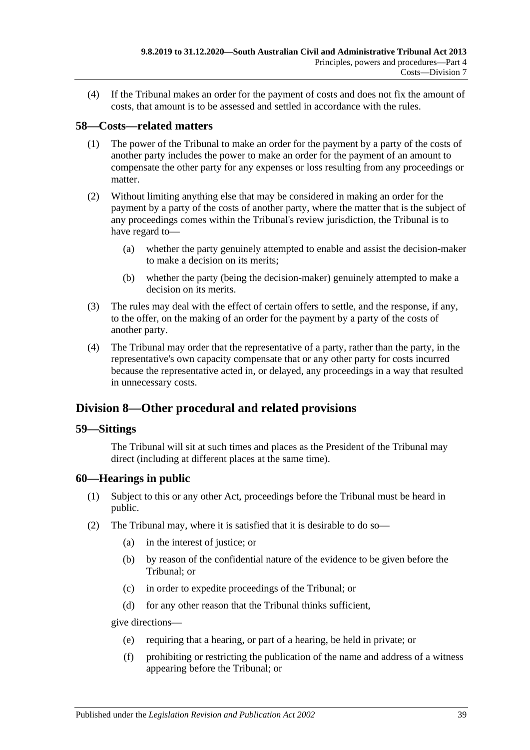(4) If the Tribunal makes an order for the payment of costs and does not fix the amount of costs, that amount is to be assessed and settled in accordance with the rules.

# <span id="page-38-0"></span>**58—Costs—related matters**

- (1) The power of the Tribunal to make an order for the payment by a party of the costs of another party includes the power to make an order for the payment of an amount to compensate the other party for any expenses or loss resulting from any proceedings or matter.
- (2) Without limiting anything else that may be considered in making an order for the payment by a party of the costs of another party, where the matter that is the subject of any proceedings comes within the Tribunal's review jurisdiction, the Tribunal is to have regard to—
	- (a) whether the party genuinely attempted to enable and assist the decision-maker to make a decision on its merits;
	- (b) whether the party (being the decision-maker) genuinely attempted to make a decision on its merits.
- (3) The rules may deal with the effect of certain offers to settle, and the response, if any, to the offer, on the making of an order for the payment by a party of the costs of another party.
- (4) The Tribunal may order that the representative of a party, rather than the party, in the representative's own capacity compensate that or any other party for costs incurred because the representative acted in, or delayed, any proceedings in a way that resulted in unnecessary costs.

# <span id="page-38-1"></span>**Division 8—Other procedural and related provisions**

### <span id="page-38-2"></span>**59—Sittings**

The Tribunal will sit at such times and places as the President of the Tribunal may direct (including at different places at the same time).

# <span id="page-38-3"></span>**60—Hearings in public**

- (1) Subject to this or any other Act, proceedings before the Tribunal must be heard in public.
- <span id="page-38-4"></span>(2) The Tribunal may, where it is satisfied that it is desirable to do so—
	- (a) in the interest of justice; or
	- (b) by reason of the confidential nature of the evidence to be given before the Tribunal; or
	- (c) in order to expedite proceedings of the Tribunal; or
	- (d) for any other reason that the Tribunal thinks sufficient,

give directions—

- (e) requiring that a hearing, or part of a hearing, be held in private; or
- (f) prohibiting or restricting the publication of the name and address of a witness appearing before the Tribunal; or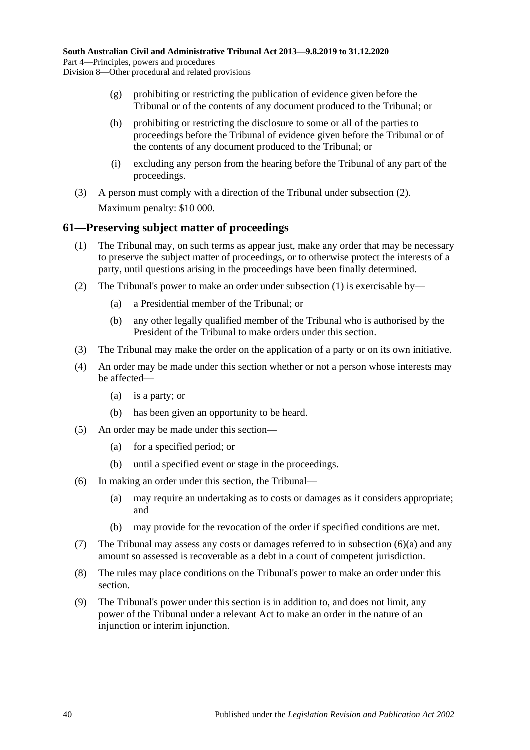- (g) prohibiting or restricting the publication of evidence given before the Tribunal or of the contents of any document produced to the Tribunal; or
- (h) prohibiting or restricting the disclosure to some or all of the parties to proceedings before the Tribunal of evidence given before the Tribunal or of the contents of any document produced to the Tribunal; or
- (i) excluding any person from the hearing before the Tribunal of any part of the proceedings.
- (3) A person must comply with a direction of the Tribunal under [subsection](#page-38-4) (2). Maximum penalty: \$10 000.

# <span id="page-39-1"></span><span id="page-39-0"></span>**61—Preserving subject matter of proceedings**

- (1) The Tribunal may, on such terms as appear just, make any order that may be necessary to preserve the subject matter of proceedings, or to otherwise protect the interests of a party, until questions arising in the proceedings have been finally determined.
- (2) The Tribunal's power to make an order under [subsection](#page-39-1) (1) is exercisable by—
	- (a) a Presidential member of the Tribunal; or
	- (b) any other legally qualified member of the Tribunal who is authorised by the President of the Tribunal to make orders under this section.
- (3) The Tribunal may make the order on the application of a party or on its own initiative.
- (4) An order may be made under this section whether or not a person whose interests may be affected—
	- (a) is a party; or
	- (b) has been given an opportunity to be heard.
- (5) An order may be made under this section—
	- (a) for a specified period; or
	- (b) until a specified event or stage in the proceedings.
- <span id="page-39-2"></span>(6) In making an order under this section, the Tribunal—
	- (a) may require an undertaking as to costs or damages as it considers appropriate; and
	- (b) may provide for the revocation of the order if specified conditions are met.
- (7) The Tribunal may assess any costs or damages referred to in [subsection](#page-39-2)  $(6)(a)$  and any amount so assessed is recoverable as a debt in a court of competent jurisdiction.
- (8) The rules may place conditions on the Tribunal's power to make an order under this section.
- (9) The Tribunal's power under this section is in addition to, and does not limit, any power of the Tribunal under a relevant Act to make an order in the nature of an injunction or interim injunction.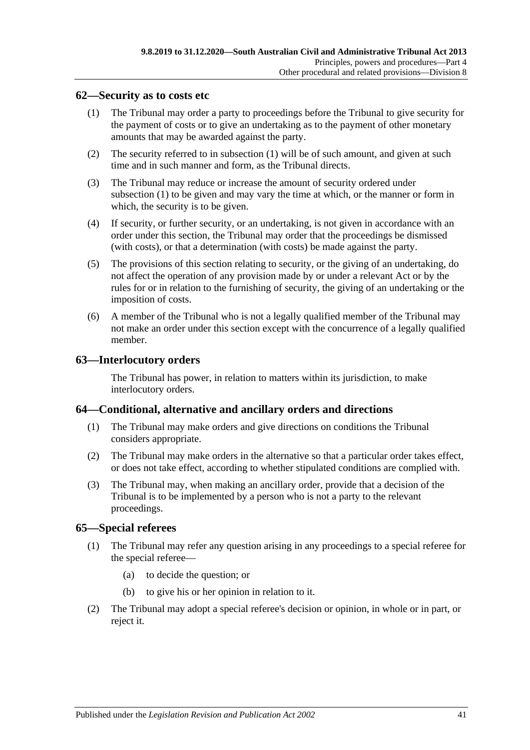### <span id="page-40-4"></span><span id="page-40-0"></span>**62—Security as to costs etc**

- (1) The Tribunal may order a party to proceedings before the Tribunal to give security for the payment of costs or to give an undertaking as to the payment of other monetary amounts that may be awarded against the party.
- (2) The security referred to in [subsection](#page-40-4) (1) will be of such amount, and given at such time and in such manner and form, as the Tribunal directs.
- (3) The Tribunal may reduce or increase the amount of security ordered under [subsection](#page-40-4) (1) to be given and may vary the time at which, or the manner or form in which, the security is to be given.
- (4) If security, or further security, or an undertaking, is not given in accordance with an order under this section, the Tribunal may order that the proceedings be dismissed (with costs), or that a determination (with costs) be made against the party.
- (5) The provisions of this section relating to security, or the giving of an undertaking, do not affect the operation of any provision made by or under a relevant Act or by the rules for or in relation to the furnishing of security, the giving of an undertaking or the imposition of costs.
- (6) A member of the Tribunal who is not a legally qualified member of the Tribunal may not make an order under this section except with the concurrence of a legally qualified member.

### <span id="page-40-1"></span>**63—Interlocutory orders**

The Tribunal has power, in relation to matters within its jurisdiction, to make interlocutory orders.

# <span id="page-40-2"></span>**64—Conditional, alternative and ancillary orders and directions**

- (1) The Tribunal may make orders and give directions on conditions the Tribunal considers appropriate.
- (2) The Tribunal may make orders in the alternative so that a particular order takes effect, or does not take effect, according to whether stipulated conditions are complied with.
- (3) The Tribunal may, when making an ancillary order, provide that a decision of the Tribunal is to be implemented by a person who is not a party to the relevant proceedings.

### <span id="page-40-3"></span>**65—Special referees**

- (1) The Tribunal may refer any question arising in any proceedings to a special referee for the special referee—
	- (a) to decide the question; or
	- (b) to give his or her opinion in relation to it.
- (2) The Tribunal may adopt a special referee's decision or opinion, in whole or in part, or reject it.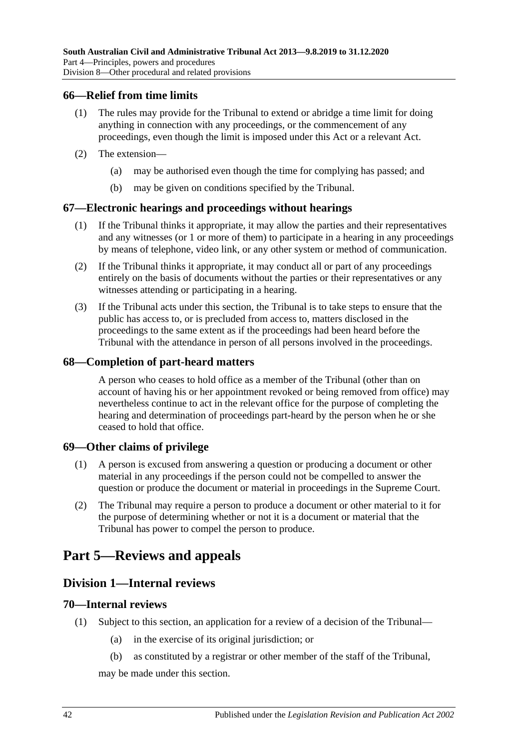### <span id="page-41-0"></span>**66—Relief from time limits**

- (1) The rules may provide for the Tribunal to extend or abridge a time limit for doing anything in connection with any proceedings, or the commencement of any proceedings, even though the limit is imposed under this Act or a relevant Act.
- (2) The extension—
	- (a) may be authorised even though the time for complying has passed; and
	- (b) may be given on conditions specified by the Tribunal.

### <span id="page-41-1"></span>**67—Electronic hearings and proceedings without hearings**

- (1) If the Tribunal thinks it appropriate, it may allow the parties and their representatives and any witnesses (or 1 or more of them) to participate in a hearing in any proceedings by means of telephone, video link, or any other system or method of communication.
- (2) If the Tribunal thinks it appropriate, it may conduct all or part of any proceedings entirely on the basis of documents without the parties or their representatives or any witnesses attending or participating in a hearing.
- (3) If the Tribunal acts under this section, the Tribunal is to take steps to ensure that the public has access to, or is precluded from access to, matters disclosed in the proceedings to the same extent as if the proceedings had been heard before the Tribunal with the attendance in person of all persons involved in the proceedings.

### <span id="page-41-2"></span>**68—Completion of part-heard matters**

A person who ceases to hold office as a member of the Tribunal (other than on account of having his or her appointment revoked or being removed from office) may nevertheless continue to act in the relevant office for the purpose of completing the hearing and determination of proceedings part-heard by the person when he or she ceased to hold that office.

### <span id="page-41-3"></span>**69—Other claims of privilege**

- (1) A person is excused from answering a question or producing a document or other material in any proceedings if the person could not be compelled to answer the question or produce the document or material in proceedings in the Supreme Court.
- (2) The Tribunal may require a person to produce a document or other material to it for the purpose of determining whether or not it is a document or material that the Tribunal has power to compel the person to produce.

# <span id="page-41-5"></span><span id="page-41-4"></span>**Part 5—Reviews and appeals**

# **Division 1—Internal reviews**

### <span id="page-41-6"></span>**70—Internal reviews**

- <span id="page-41-8"></span><span id="page-41-7"></span>(1) Subject to this section, an application for a review of a decision of the Tribunal—
	- (a) in the exercise of its original jurisdiction; or
	- (b) as constituted by a registrar or other member of the staff of the Tribunal,

may be made under this section.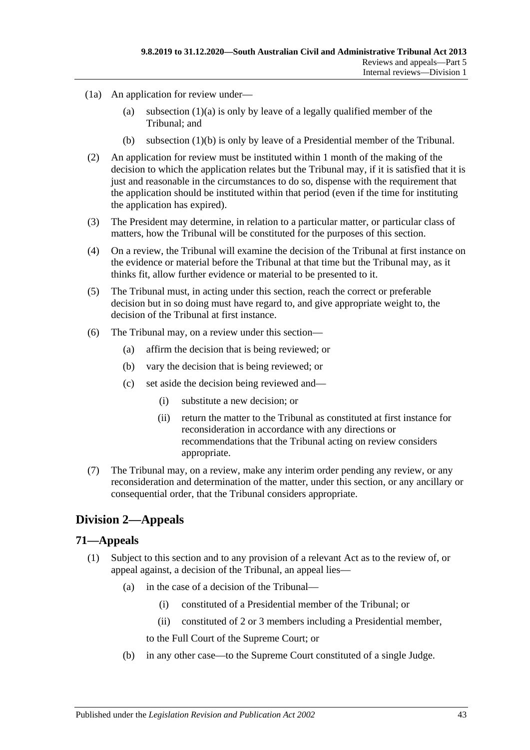- (1a) An application for review under
	- (a) [subsection](#page-41-7)  $(1)(a)$  is only by leave of a legally qualified member of the Tribunal; and
	- (b) [subsection](#page-41-8) (1)(b) is only by leave of a Presidential member of the Tribunal.
- (2) An application for review must be instituted within 1 month of the making of the decision to which the application relates but the Tribunal may, if it is satisfied that it is just and reasonable in the circumstances to do so, dispense with the requirement that the application should be instituted within that period (even if the time for instituting the application has expired).
- (3) The President may determine, in relation to a particular matter, or particular class of matters, how the Tribunal will be constituted for the purposes of this section.
- (4) On a review, the Tribunal will examine the decision of the Tribunal at first instance on the evidence or material before the Tribunal at that time but the Tribunal may, as it thinks fit, allow further evidence or material to be presented to it.
- (5) The Tribunal must, in acting under this section, reach the correct or preferable decision but in so doing must have regard to, and give appropriate weight to, the decision of the Tribunal at first instance.
- (6) The Tribunal may, on a review under this section—
	- (a) affirm the decision that is being reviewed; or
	- (b) vary the decision that is being reviewed; or
	- (c) set aside the decision being reviewed and—
		- (i) substitute a new decision; or
		- (ii) return the matter to the Tribunal as constituted at first instance for reconsideration in accordance with any directions or recommendations that the Tribunal acting on review considers appropriate.
- (7) The Tribunal may, on a review, make any interim order pending any review, or any reconsideration and determination of the matter, under this section, or any ancillary or consequential order, that the Tribunal considers appropriate.

# <span id="page-42-0"></span>**Division 2—Appeals**

### <span id="page-42-2"></span><span id="page-42-1"></span>**71—Appeals**

- (1) Subject to this section and to any provision of a relevant Act as to the review of, or appeal against, a decision of the Tribunal, an appeal lies—
	- (a) in the case of a decision of the Tribunal—
		- (i) constituted of a Presidential member of the Tribunal; or
		- (ii) constituted of 2 or 3 members including a Presidential member,
		- to the Full Court of the Supreme Court; or
	- (b) in any other case—to the Supreme Court constituted of a single Judge.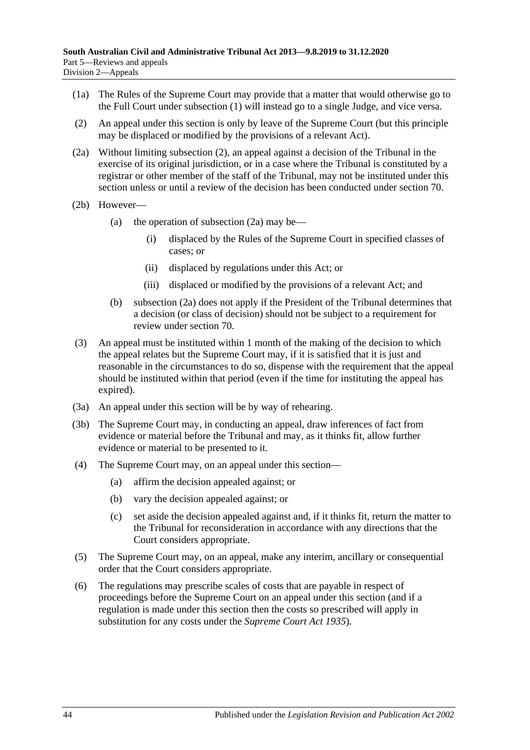- (1a) The Rules of the Supreme Court may provide that a matter that would otherwise go to the Full Court under [subsection](#page-42-2) (1) will instead go to a single Judge, and vice versa.
- <span id="page-43-0"></span>(2) An appeal under this section is only by leave of the Supreme Court (but this principle may be displaced or modified by the provisions of a relevant Act).
- <span id="page-43-1"></span>(2a) Without limiting [subsection](#page-43-0) (2), an appeal against a decision of the Tribunal in the exercise of its original jurisdiction, or in a case where the Tribunal is constituted by a registrar or other member of the staff of the Tribunal, may not be instituted under this section unless or until a review of the decision has been conducted under [section](#page-41-6) 70.
- (2b) However
	- (a) the operation of [subsection](#page-43-1)  $(2a)$  may be—
		- (i) displaced by the Rules of the Supreme Court in specified classes of cases; or
		- (ii) displaced by regulations under this Act; or
		- (iii) displaced or modified by the provisions of a relevant Act; and
	- (b) [subsection](#page-43-1) (2a) does not apply if the President of the Tribunal determines that a decision (or class of decision) should not be subject to a requirement for review under [section](#page-41-6) 70.
- (3) An appeal must be instituted within 1 month of the making of the decision to which the appeal relates but the Supreme Court may, if it is satisfied that it is just and reasonable in the circumstances to do so, dispense with the requirement that the appeal should be instituted within that period (even if the time for instituting the appeal has expired).
- (3a) An appeal under this section will be by way of rehearing.
- (3b) The Supreme Court may, in conducting an appeal, draw inferences of fact from evidence or material before the Tribunal and may, as it thinks fit, allow further evidence or material to be presented to it.
- (4) The Supreme Court may, on an appeal under this section—
	- (a) affirm the decision appealed against; or
	- (b) vary the decision appealed against; or
	- (c) set aside the decision appealed against and, if it thinks fit, return the matter to the Tribunal for reconsideration in accordance with any directions that the Court considers appropriate.
- (5) The Supreme Court may, on an appeal, make any interim, ancillary or consequential order that the Court considers appropriate.
- (6) The regulations may prescribe scales of costs that are payable in respect of proceedings before the Supreme Court on an appeal under this section (and if a regulation is made under this section then the costs so prescribed will apply in substitution for any costs under the *[Supreme Court Act](http://www.legislation.sa.gov.au/index.aspx?action=legref&type=act&legtitle=Supreme%20Court%20Act%201935) 1935*).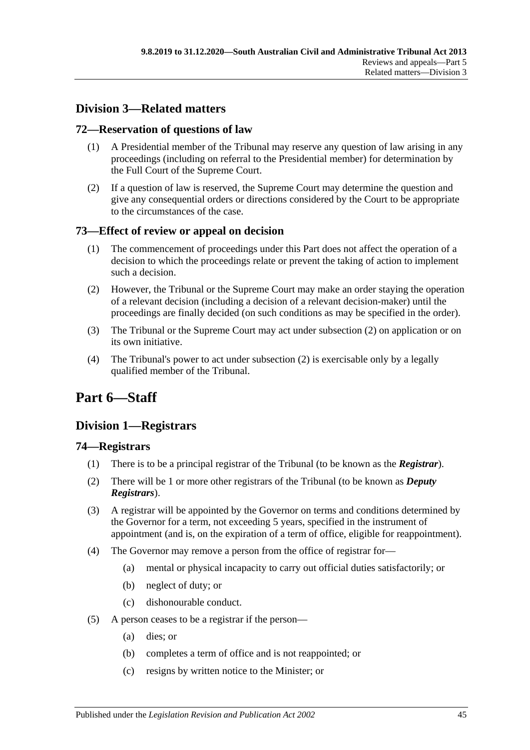# <span id="page-44-0"></span>**Division 3—Related matters**

# <span id="page-44-1"></span>**72—Reservation of questions of law**

- (1) A Presidential member of the Tribunal may reserve any question of law arising in any proceedings (including on referral to the Presidential member) for determination by the Full Court of the Supreme Court.
- (2) If a question of law is reserved, the Supreme Court may determine the question and give any consequential orders or directions considered by the Court to be appropriate to the circumstances of the case.

# <span id="page-44-2"></span>**73—Effect of review or appeal on decision**

- (1) The commencement of proceedings under this Part does not affect the operation of a decision to which the proceedings relate or prevent the taking of action to implement such a decision.
- <span id="page-44-6"></span>(2) However, the Tribunal or the Supreme Court may make an order staying the operation of a relevant decision (including a decision of a relevant decision-maker) until the proceedings are finally decided (on such conditions as may be specified in the order).
- (3) The Tribunal or the Supreme Court may act under [subsection](#page-44-6) (2) on application or on its own initiative.
- (4) The Tribunal's power to act under [subsection](#page-44-6) (2) is exercisable only by a legally qualified member of the Tribunal.

# <span id="page-44-3"></span>**Part 6—Staff**

# <span id="page-44-4"></span>**Division 1—Registrars**

# <span id="page-44-5"></span>**74—Registrars**

- (1) There is to be a principal registrar of the Tribunal (to be known as the *Registrar*).
- (2) There will be 1 or more other registrars of the Tribunal (to be known as *Deputy Registrars*).
- (3) A registrar will be appointed by the Governor on terms and conditions determined by the Governor for a term, not exceeding 5 years, specified in the instrument of appointment (and is, on the expiration of a term of office, eligible for reappointment).
- <span id="page-44-7"></span>(4) The Governor may remove a person from the office of registrar for—
	- (a) mental or physical incapacity to carry out official duties satisfactorily; or
	- (b) neglect of duty; or
	- (c) dishonourable conduct.
- (5) A person ceases to be a registrar if the person—
	- (a) dies; or
	- (b) completes a term of office and is not reappointed; or
	- (c) resigns by written notice to the Minister; or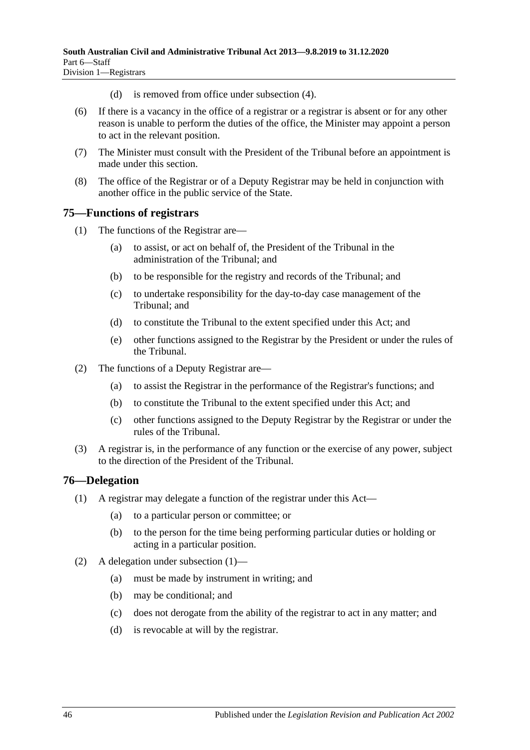- (d) is removed from office under [subsection](#page-44-7) (4).
- (6) If there is a vacancy in the office of a registrar or a registrar is absent or for any other reason is unable to perform the duties of the office, the Minister may appoint a person to act in the relevant position.
- (7) The Minister must consult with the President of the Tribunal before an appointment is made under this section.
- (8) The office of the Registrar or of a Deputy Registrar may be held in conjunction with another office in the public service of the State.

# <span id="page-45-0"></span>**75—Functions of registrars**

- (1) The functions of the Registrar are—
	- (a) to assist, or act on behalf of, the President of the Tribunal in the administration of the Tribunal; and
	- (b) to be responsible for the registry and records of the Tribunal; and
	- (c) to undertake responsibility for the day-to-day case management of the Tribunal; and
	- (d) to constitute the Tribunal to the extent specified under this Act; and
	- (e) other functions assigned to the Registrar by the President or under the rules of the Tribunal.
- (2) The functions of a Deputy Registrar are—
	- (a) to assist the Registrar in the performance of the Registrar's functions; and
	- (b) to constitute the Tribunal to the extent specified under this Act; and
	- (c) other functions assigned to the Deputy Registrar by the Registrar or under the rules of the Tribunal.
- (3) A registrar is, in the performance of any function or the exercise of any power, subject to the direction of the President of the Tribunal.

# <span id="page-45-2"></span><span id="page-45-1"></span>**76—Delegation**

- (1) A registrar may delegate a function of the registrar under this Act—
	- (a) to a particular person or committee; or
	- (b) to the person for the time being performing particular duties or holding or acting in a particular position.
- (2) A delegation under [subsection](#page-45-2) (1)—
	- (a) must be made by instrument in writing; and
	- (b) may be conditional; and
	- (c) does not derogate from the ability of the registrar to act in any matter; and
	- (d) is revocable at will by the registrar.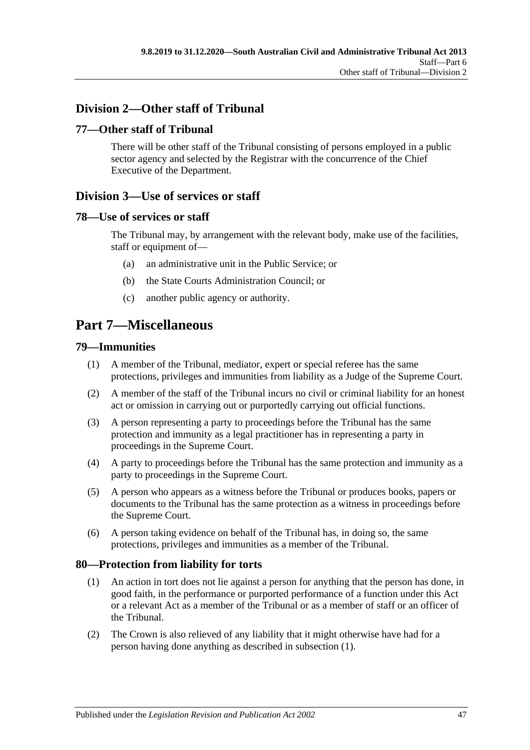# <span id="page-46-0"></span>**Division 2—Other staff of Tribunal**

# <span id="page-46-1"></span>**77—Other staff of Tribunal**

There will be other staff of the Tribunal consisting of persons employed in a public sector agency and selected by the Registrar with the concurrence of the Chief Executive of the Department.

# <span id="page-46-2"></span>**Division 3—Use of services or staff**

# <span id="page-46-3"></span>**78—Use of services or staff**

The Tribunal may, by arrangement with the relevant body, make use of the facilities, staff or equipment of—

- (a) an administrative unit in the Public Service; or
- (b) the State Courts Administration Council; or
- (c) another public agency or authority.

# <span id="page-46-4"></span>**Part 7—Miscellaneous**

### <span id="page-46-5"></span>**79—Immunities**

- (1) A member of the Tribunal, mediator, expert or special referee has the same protections, privileges and immunities from liability as a Judge of the Supreme Court.
- (2) A member of the staff of the Tribunal incurs no civil or criminal liability for an honest act or omission in carrying out or purportedly carrying out official functions.
- (3) A person representing a party to proceedings before the Tribunal has the same protection and immunity as a legal practitioner has in representing a party in proceedings in the Supreme Court.
- (4) A party to proceedings before the Tribunal has the same protection and immunity as a party to proceedings in the Supreme Court.
- (5) A person who appears as a witness before the Tribunal or produces books, papers or documents to the Tribunal has the same protection as a witness in proceedings before the Supreme Court.
- (6) A person taking evidence on behalf of the Tribunal has, in doing so, the same protections, privileges and immunities as a member of the Tribunal.

# <span id="page-46-7"></span><span id="page-46-6"></span>**80—Protection from liability for torts**

- (1) An action in tort does not lie against a person for anything that the person has done, in good faith, in the performance or purported performance of a function under this Act or a relevant Act as a member of the Tribunal or as a member of staff or an officer of the Tribunal.
- (2) The Crown is also relieved of any liability that it might otherwise have had for a person having done anything as described in [subsection](#page-46-7) (1).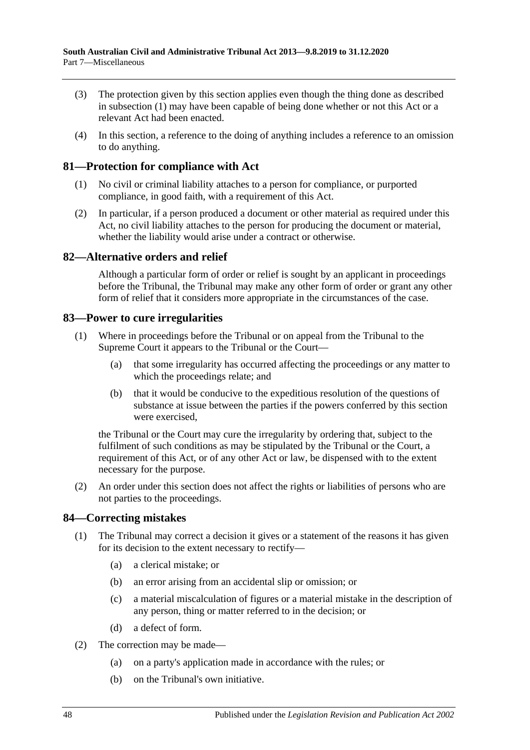- (3) The protection given by this section applies even though the thing done as described in [subsection](#page-46-7) (1) may have been capable of being done whether or not this Act or a relevant Act had been enacted.
- (4) In this section, a reference to the doing of anything includes a reference to an omission to do anything.

# <span id="page-47-0"></span>**81—Protection for compliance with Act**

- (1) No civil or criminal liability attaches to a person for compliance, or purported compliance, in good faith, with a requirement of this Act.
- (2) In particular, if a person produced a document or other material as required under this Act, no civil liability attaches to the person for producing the document or material, whether the liability would arise under a contract or otherwise.

# <span id="page-47-1"></span>**82—Alternative orders and relief**

Although a particular form of order or relief is sought by an applicant in proceedings before the Tribunal, the Tribunal may make any other form of order or grant any other form of relief that it considers more appropriate in the circumstances of the case.

# <span id="page-47-2"></span>**83—Power to cure irregularities**

- (1) Where in proceedings before the Tribunal or on appeal from the Tribunal to the Supreme Court it appears to the Tribunal or the Court—
	- (a) that some irregularity has occurred affecting the proceedings or any matter to which the proceedings relate; and
	- (b) that it would be conducive to the expeditious resolution of the questions of substance at issue between the parties if the powers conferred by this section were exercised,

the Tribunal or the Court may cure the irregularity by ordering that, subject to the fulfilment of such conditions as may be stipulated by the Tribunal or the Court, a requirement of this Act, or of any other Act or law, be dispensed with to the extent necessary for the purpose.

(2) An order under this section does not affect the rights or liabilities of persons who are not parties to the proceedings.

# <span id="page-47-3"></span>**84—Correcting mistakes**

- (1) The Tribunal may correct a decision it gives or a statement of the reasons it has given for its decision to the extent necessary to rectify—
	- (a) a clerical mistake; or
	- (b) an error arising from an accidental slip or omission; or
	- (c) a material miscalculation of figures or a material mistake in the description of any person, thing or matter referred to in the decision; or
	- (d) a defect of form.
- (2) The correction may be made—
	- (a) on a party's application made in accordance with the rules; or
	- (b) on the Tribunal's own initiative.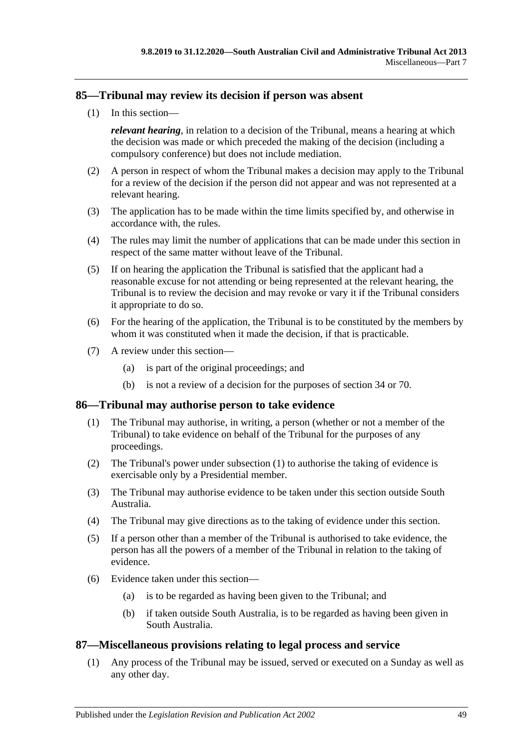# <span id="page-48-0"></span>**85—Tribunal may review its decision if person was absent**

(1) In this section—

*relevant hearing*, in relation to a decision of the Tribunal, means a hearing at which the decision was made or which preceded the making of the decision (including a compulsory conference) but does not include mediation.

- (2) A person in respect of whom the Tribunal makes a decision may apply to the Tribunal for a review of the decision if the person did not appear and was not represented at a relevant hearing.
- (3) The application has to be made within the time limits specified by, and otherwise in accordance with, the rules.
- (4) The rules may limit the number of applications that can be made under this section in respect of the same matter without leave of the Tribunal.
- (5) If on hearing the application the Tribunal is satisfied that the applicant had a reasonable excuse for not attending or being represented at the relevant hearing, the Tribunal is to review the decision and may revoke or vary it if the Tribunal considers it appropriate to do so.
- (6) For the hearing of the application, the Tribunal is to be constituted by the members by whom it was constituted when it made the decision, if that is practicable.
- (7) A review under this section—
	- (a) is part of the original proceedings; and
	- (b) is not a review of a decision for the purposes of [section](#page-21-3) 34 or [70.](#page-41-6)

# <span id="page-48-3"></span><span id="page-48-1"></span>**86—Tribunal may authorise person to take evidence**

- (1) The Tribunal may authorise, in writing, a person (whether or not a member of the Tribunal) to take evidence on behalf of the Tribunal for the purposes of any proceedings.
- (2) The Tribunal's power under [subsection](#page-48-3) (1) to authorise the taking of evidence is exercisable only by a Presidential member.
- (3) The Tribunal may authorise evidence to be taken under this section outside South Australia.
- (4) The Tribunal may give directions as to the taking of evidence under this section.
- (5) If a person other than a member of the Tribunal is authorised to take evidence, the person has all the powers of a member of the Tribunal in relation to the taking of evidence.
- (6) Evidence taken under this section—
	- (a) is to be regarded as having been given to the Tribunal; and
	- (b) if taken outside South Australia, is to be regarded as having been given in South Australia.

# <span id="page-48-2"></span>**87—Miscellaneous provisions relating to legal process and service**

(1) Any process of the Tribunal may be issued, served or executed on a Sunday as well as any other day.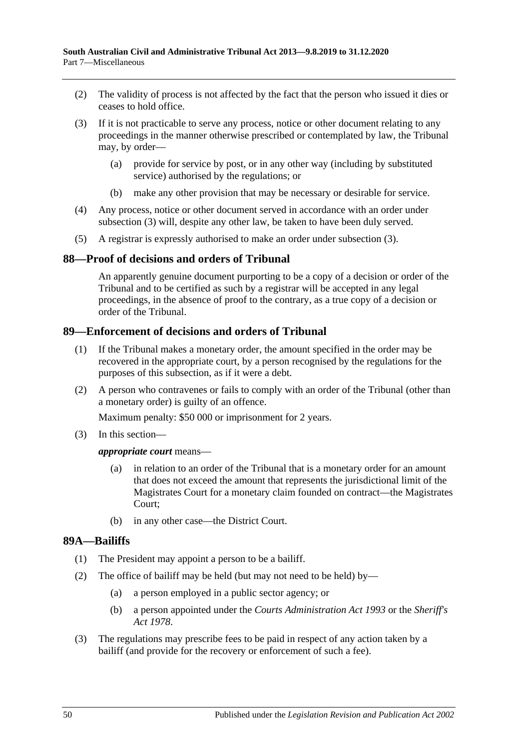- (2) The validity of process is not affected by the fact that the person who issued it dies or ceases to hold office.
- <span id="page-49-3"></span>(3) If it is not practicable to serve any process, notice or other document relating to any proceedings in the manner otherwise prescribed or contemplated by law, the Tribunal may, by order—
	- (a) provide for service by post, or in any other way (including by substituted service) authorised by the regulations; or
	- (b) make any other provision that may be necessary or desirable for service.
- (4) Any process, notice or other document served in accordance with an order under [subsection](#page-49-3) (3) will, despite any other law, be taken to have been duly served.
- (5) A registrar is expressly authorised to make an order under [subsection](#page-49-3) (3).

# <span id="page-49-0"></span>**88—Proof of decisions and orders of Tribunal**

An apparently genuine document purporting to be a copy of a decision or order of the Tribunal and to be certified as such by a registrar will be accepted in any legal proceedings, in the absence of proof to the contrary, as a true copy of a decision or order of the Tribunal.

# <span id="page-49-1"></span>**89—Enforcement of decisions and orders of Tribunal**

- (1) If the Tribunal makes a monetary order, the amount specified in the order may be recovered in the appropriate court, by a person recognised by the regulations for the purposes of this subsection, as if it were a debt.
- (2) A person who contravenes or fails to comply with an order of the Tribunal (other than a monetary order) is guilty of an offence.

Maximum penalty: \$50 000 or imprisonment for 2 years.

(3) In this section—

### *appropriate court* means—

- (a) in relation to an order of the Tribunal that is a monetary order for an amount that does not exceed the amount that represents the jurisdictional limit of the Magistrates Court for a monetary claim founded on contract—the Magistrates Court;
- (b) in any other case—the District Court.

### <span id="page-49-2"></span>**89A—Bailiffs**

- (1) The President may appoint a person to be a bailiff.
- (2) The office of bailiff may be held (but may not need to be held) by—
	- (a) a person employed in a public sector agency; or
	- (b) a person appointed under the *[Courts Administration Act](http://www.legislation.sa.gov.au/index.aspx?action=legref&type=act&legtitle=Courts%20Administration%20Act%201993) 1993* or the *[Sheriff's](http://www.legislation.sa.gov.au/index.aspx?action=legref&type=act&legtitle=Sheriffs%20Act%201978)  Act [1978](http://www.legislation.sa.gov.au/index.aspx?action=legref&type=act&legtitle=Sheriffs%20Act%201978)*.
- (3) The regulations may prescribe fees to be paid in respect of any action taken by a bailiff (and provide for the recovery or enforcement of such a fee).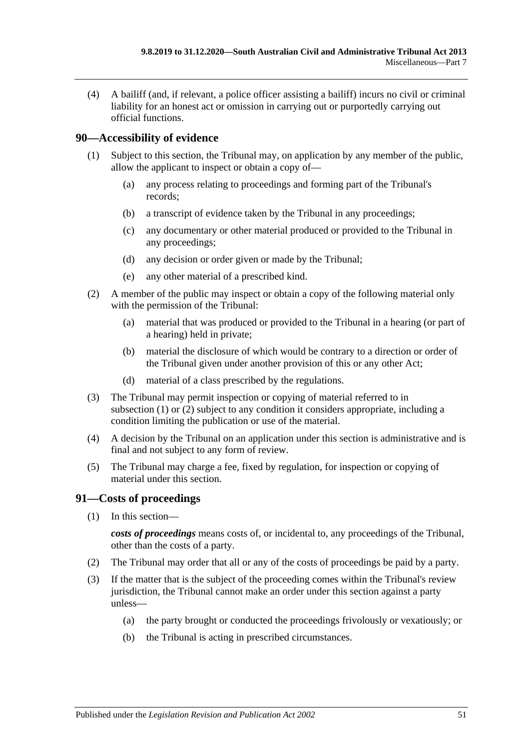(4) A bailiff (and, if relevant, a police officer assisting a bailiff) incurs no civil or criminal liability for an honest act or omission in carrying out or purportedly carrying out official functions.

# <span id="page-50-2"></span><span id="page-50-0"></span>**90—Accessibility of evidence**

- (1) Subject to this section, the Tribunal may, on application by any member of the public, allow the applicant to inspect or obtain a copy of—
	- (a) any process relating to proceedings and forming part of the Tribunal's records;
	- (b) a transcript of evidence taken by the Tribunal in any proceedings;
	- (c) any documentary or other material produced or provided to the Tribunal in any proceedings;
	- (d) any decision or order given or made by the Tribunal;
	- (e) any other material of a prescribed kind.
- <span id="page-50-3"></span>(2) A member of the public may inspect or obtain a copy of the following material only with the permission of the Tribunal:
	- (a) material that was produced or provided to the Tribunal in a hearing (or part of a hearing) held in private;
	- (b) material the disclosure of which would be contrary to a direction or order of the Tribunal given under another provision of this or any other Act;
	- (d) material of a class prescribed by the regulations.
- (3) The Tribunal may permit inspection or copying of material referred to in [subsection](#page-50-2) (1) or [\(2\)](#page-50-3) subject to any condition it considers appropriate, including a condition limiting the publication or use of the material.
- (4) A decision by the Tribunal on an application under this section is administrative and is final and not subject to any form of review.
- (5) The Tribunal may charge a fee, fixed by regulation, for inspection or copying of material under this section.

# <span id="page-50-1"></span>**91—Costs of proceedings**

(1) In this section—

*costs of proceedings* means costs of, or incidental to, any proceedings of the Tribunal, other than the costs of a party.

- (2) The Tribunal may order that all or any of the costs of proceedings be paid by a party.
- (3) If the matter that is the subject of the proceeding comes within the Tribunal's review jurisdiction, the Tribunal cannot make an order under this section against a party unless—
	- (a) the party brought or conducted the proceedings frivolously or vexatiously; or
	- (b) the Tribunal is acting in prescribed circumstances.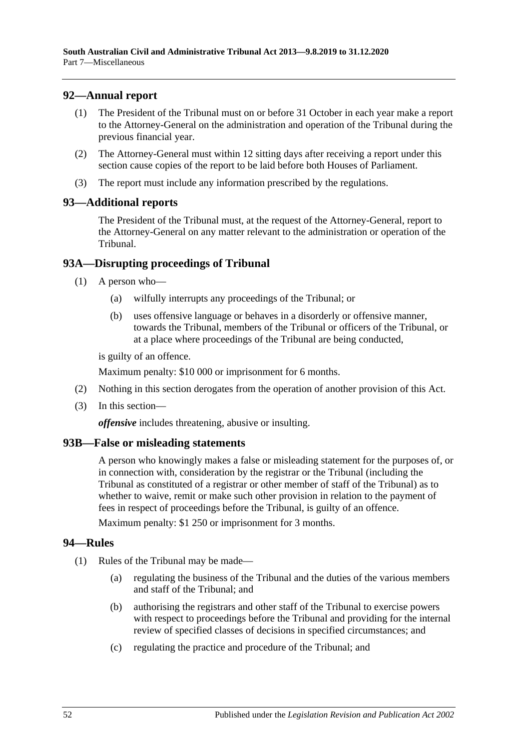# <span id="page-51-0"></span>**92—Annual report**

- (1) The President of the Tribunal must on or before 31 October in each year make a report to the Attorney-General on the administration and operation of the Tribunal during the previous financial year.
- (2) The Attorney-General must within 12 sitting days after receiving a report under this section cause copies of the report to be laid before both Houses of Parliament.
- (3) The report must include any information prescribed by the regulations.

### <span id="page-51-1"></span>**93—Additional reports**

The President of the Tribunal must, at the request of the Attorney-General, report to the Attorney-General on any matter relevant to the administration or operation of the Tribunal.

# <span id="page-51-2"></span>**93A—Disrupting proceedings of Tribunal**

- (1) A person who—
	- (a) wilfully interrupts any proceedings of the Tribunal; or
	- (b) uses offensive language or behaves in a disorderly or offensive manner, towards the Tribunal, members of the Tribunal or officers of the Tribunal, or at a place where proceedings of the Tribunal are being conducted,

is guilty of an offence.

Maximum penalty: \$10 000 or imprisonment for 6 months.

- (2) Nothing in this section derogates from the operation of another provision of this Act.
- (3) In this section—

*offensive* includes threatening, abusive or insulting.

# <span id="page-51-3"></span>**93B—False or misleading statements**

A person who knowingly makes a false or misleading statement for the purposes of, or in connection with, consideration by the registrar or the Tribunal (including the Tribunal as constituted of a registrar or other member of staff of the Tribunal) as to whether to waive, remit or make such other provision in relation to the payment of fees in respect of proceedings before the Tribunal, is guilty of an offence.

Maximum penalty: \$1 250 or imprisonment for 3 months.

### <span id="page-51-4"></span>**94—Rules**

- (1) Rules of the Tribunal may be made—
	- (a) regulating the business of the Tribunal and the duties of the various members and staff of the Tribunal; and
	- (b) authorising the registrars and other staff of the Tribunal to exercise powers with respect to proceedings before the Tribunal and providing for the internal review of specified classes of decisions in specified circumstances; and
	- (c) regulating the practice and procedure of the Tribunal; and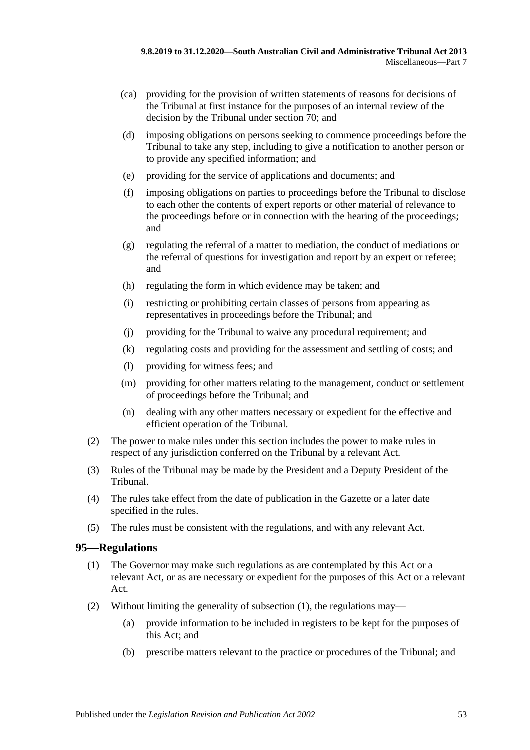- (ca) providing for the provision of written statements of reasons for decisions of the Tribunal at first instance for the purposes of an internal review of the decision by the Tribunal under [section](#page-41-6) 70; and
- (d) imposing obligations on persons seeking to commence proceedings before the Tribunal to take any step, including to give a notification to another person or to provide any specified information; and
- (e) providing for the service of applications and documents; and
- (f) imposing obligations on parties to proceedings before the Tribunal to disclose to each other the contents of expert reports or other material of relevance to the proceedings before or in connection with the hearing of the proceedings; and
- (g) regulating the referral of a matter to mediation, the conduct of mediations or the referral of questions for investigation and report by an expert or referee; and
- (h) regulating the form in which evidence may be taken; and
- (i) restricting or prohibiting certain classes of persons from appearing as representatives in proceedings before the Tribunal; and
- (j) providing for the Tribunal to waive any procedural requirement; and
- (k) regulating costs and providing for the assessment and settling of costs; and
- (l) providing for witness fees; and
- (m) providing for other matters relating to the management, conduct or settlement of proceedings before the Tribunal; and
- (n) dealing with any other matters necessary or expedient for the effective and efficient operation of the Tribunal.
- (2) The power to make rules under this section includes the power to make rules in respect of any jurisdiction conferred on the Tribunal by a relevant Act.
- (3) Rules of the Tribunal may be made by the President and a Deputy President of the Tribunal.
- (4) The rules take effect from the date of publication in the Gazette or a later date specified in the rules.
- (5) The rules must be consistent with the regulations, and with any relevant Act.

# <span id="page-52-1"></span><span id="page-52-0"></span>**95—Regulations**

- (1) The Governor may make such regulations as are contemplated by this Act or a relevant Act, or as are necessary or expedient for the purposes of this Act or a relevant Act.
- (2) Without limiting the generality of [subsection](#page-52-1) (1), the regulations may—
	- (a) provide information to be included in registers to be kept for the purposes of this Act; and
	- (b) prescribe matters relevant to the practice or procedures of the Tribunal; and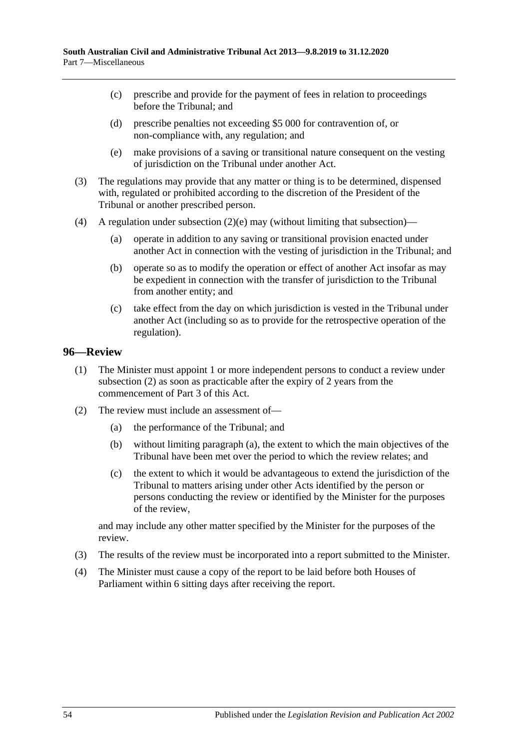- (c) prescribe and provide for the payment of fees in relation to proceedings before the Tribunal; and
- (d) prescribe penalties not exceeding \$5 000 for contravention of, or non-compliance with, any regulation; and
- (e) make provisions of a saving or transitional nature consequent on the vesting of jurisdiction on the Tribunal under another Act.
- <span id="page-53-1"></span>(3) The regulations may provide that any matter or thing is to be determined, dispensed with, regulated or prohibited according to the discretion of the President of the Tribunal or another prescribed person.
- (4) A regulation under [subsection](#page-53-1)  $(2)(e)$  may (without limiting that subsection)—
	- (a) operate in addition to any saving or transitional provision enacted under another Act in connection with the vesting of jurisdiction in the Tribunal; and
	- (b) operate so as to modify the operation or effect of another Act insofar as may be expedient in connection with the transfer of jurisdiction to the Tribunal from another entity; and
	- (c) take effect from the day on which jurisdiction is vested in the Tribunal under another Act (including so as to provide for the retrospective operation of the regulation).

### <span id="page-53-0"></span>**96—Review**

- (1) The Minister must appoint 1 or more independent persons to conduct a review under [subsection](#page-53-2) (2) as soon as practicable after the expiry of 2 years from the commencement of [Part](#page-20-1) 3 of this Act.
- <span id="page-53-3"></span><span id="page-53-2"></span>(2) The review must include an assessment of—
	- (a) the performance of the Tribunal; and
	- (b) without limiting [paragraph](#page-53-3) (a), the extent to which the main objectives of the Tribunal have been met over the period to which the review relates; and
	- (c) the extent to which it would be advantageous to extend the jurisdiction of the Tribunal to matters arising under other Acts identified by the person or persons conducting the review or identified by the Minister for the purposes of the review,

and may include any other matter specified by the Minister for the purposes of the review.

- (3) The results of the review must be incorporated into a report submitted to the Minister.
- (4) The Minister must cause a copy of the report to be laid before both Houses of Parliament within 6 sitting days after receiving the report.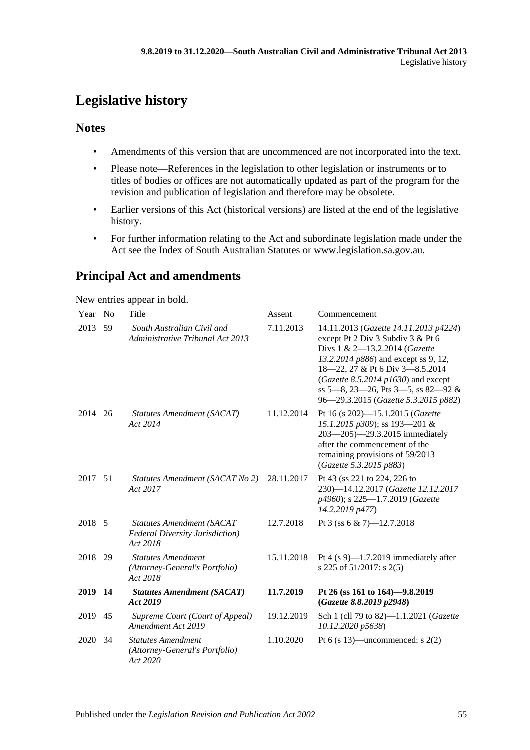# <span id="page-54-0"></span>**Legislative history**

# **Notes**

- Amendments of this version that are uncommenced are not incorporated into the text.
- Please note—References in the legislation to other legislation or instruments or to titles of bodies or offices are not automatically updated as part of the program for the revision and publication of legislation and therefore may be obsolete.
- Earlier versions of this Act (historical versions) are listed at the end of the legislative history.
- For further information relating to the Act and subordinate legislation made under the Act see the Index of South Australian Statutes or www.legislation.sa.gov.au.

# **Principal Act and amendments**

New entries appear in bold.

| Year | No        | Title                                                                            | Assent     | Commencement                                                                                                                                                                                                                                                                                                   |
|------|-----------|----------------------------------------------------------------------------------|------------|----------------------------------------------------------------------------------------------------------------------------------------------------------------------------------------------------------------------------------------------------------------------------------------------------------------|
| 2013 | 59        | South Australian Civil and<br>Administrative Tribunal Act 2013                   | 7.11.2013  | 14.11.2013 (Gazette 14.11.2013 p4224)<br>except Pt 2 Div 3 Subdiv 3 & Pt 6<br>Divs 1 & 2-13.2.2014 (Gazette<br>13.2.2014 p886) and except ss 9, 12,<br>18-22, 27 & Pt 6 Div 3-8.5.2014<br>(Gazette 8.5.2014 $p1630$ ) and except<br>ss 5-8, 23-26, Pts 3-5, ss 82-92 &<br>96-29.3.2015 (Gazette 5.3.2015 p882) |
| 2014 | 26        | Statutes Amendment (SACAT)<br>Act 2014                                           | 11.12.2014 | Pt 16 (s 202)-15.1.2015 (Gazette<br>15.1.2015 p309); ss 193-201 &<br>203-205)-29.3.2015 immediately<br>after the commencement of the<br>remaining provisions of 59/2013<br>(Gazette 5.3.2015 p883)                                                                                                             |
| 2017 | 51        | Statutes Amendment (SACAT No 2)<br>Act 2017                                      | 28.11.2017 | Pt 43 (ss 221 to 224, 226 to<br>230)-14.12.2017 (Gazette 12.12.2017<br>p4960); s 225-1.7.2019 (Gazette<br>14.2.2019 p477)                                                                                                                                                                                      |
| 2018 | - 5       | Statutes Amendment (SACAT<br><b>Federal Diversity Jurisdiction</b> )<br>Act 2018 | 12.7.2018  | Pt 3 (ss 6 & 7)-12.7.2018                                                                                                                                                                                                                                                                                      |
| 2018 | 29        | <b>Statutes Amendment</b><br>(Attorney-General's Portfolio)<br>Act 2018          | 15.11.2018 | Pt 4 $(s 9)$ —1.7.2019 immediately after<br>s 225 of 51/2017: s 2(5)                                                                                                                                                                                                                                           |
| 2019 | <b>14</b> | <b>Statutes Amendment (SACAT)</b><br>Act 2019                                    | 11.7.2019  | Pt 26 (ss 161 to 164)-9.8.2019<br>(Gazette 8.8.2019 p2948)                                                                                                                                                                                                                                                     |
| 2019 | 45        | Supreme Court (Court of Appeal)<br>Amendment Act 2019                            | 19.12.2019 | Sch 1 (cll 79 to 82)-1.1.2021 (Gazette<br>10.12.2020 p5638)                                                                                                                                                                                                                                                    |
| 2020 | 34        | <b>Statutes Amendment</b><br>(Attorney-General's Portfolio)<br>Act 2020          | 1.10.2020  | Pt 6 (s 13)—uncommenced: s $2(2)$                                                                                                                                                                                                                                                                              |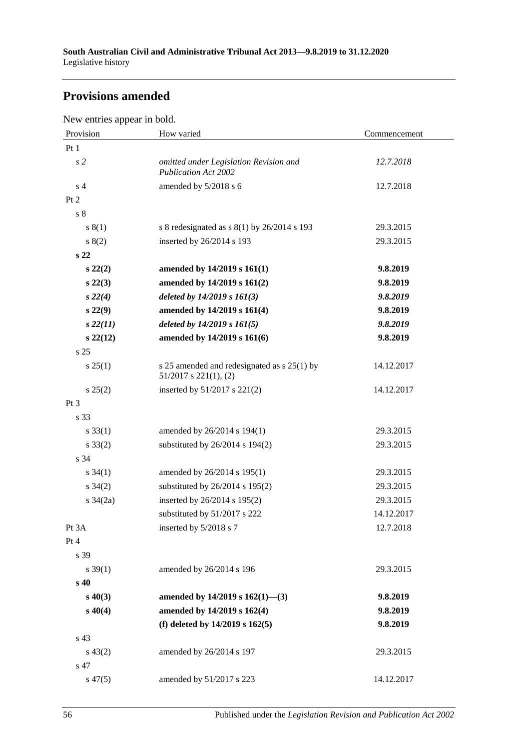# **Provisions amended**

New entries appear in bold.

| Provision       | How varied                                                                | Commencement |
|-----------------|---------------------------------------------------------------------------|--------------|
| Pt1             |                                                                           |              |
| s <sub>2</sub>  | omitted under Legislation Revision and<br><b>Publication Act 2002</b>     | 12.7.2018    |
| s <sub>4</sub>  | amended by 5/2018 s 6                                                     | 12.7.2018    |
| Pt 2            |                                                                           |              |
| s <sub>8</sub>  |                                                                           |              |
| s(1)            | s 8 redesignated as s 8(1) by 26/2014 s 193                               | 29.3.2015    |
| s(2)            | inserted by 26/2014 s 193                                                 | 29.3.2015    |
| s <sub>22</sub> |                                                                           |              |
| $s\,22(2)$      | amended by 14/2019 s 161(1)                                               | 9.8.2019     |
| s 22(3)         | amended by 14/2019 s 161(2)                                               | 9.8.2019     |
| $s\,22(4)$      | deleted by $14/2019$ s $161(3)$                                           | 9.8.2019     |
| s 22(9)         | amended by 14/2019 s 161(4)                                               | 9.8.2019     |
| $s\,22(11)$     | deleted by $14/2019$ s $161(5)$                                           | 9.8.2019     |
| $s\,22(12)$     | amended by 14/2019 s 161(6)                                               | 9.8.2019     |
| s <sub>25</sub> |                                                                           |              |
| s 25(1)         | s 25 amended and redesignated as s 25(1) by<br>$51/2017$ s $221(1)$ , (2) | 14.12.2017   |
| $s\,25(2)$      | inserted by $51/2017$ s $221(2)$                                          | 14.12.2017   |
| Pt 3            |                                                                           |              |
| s 33            |                                                                           |              |
| $s \, 33(1)$    | amended by 26/2014 s 194(1)                                               | 29.3.2015    |
| $s \, 33(2)$    | substituted by 26/2014 s 194(2)                                           | 29.3.2015    |
| s 34            |                                                                           |              |
| $s \, 34(1)$    | amended by 26/2014 s 195(1)                                               | 29.3.2015    |
| $s \; 34(2)$    | substituted by 26/2014 s 195(2)                                           | 29.3.2015    |
| s $34(2a)$      | inserted by 26/2014 s 195(2)                                              | 29.3.2015    |
|                 | substituted by 51/2017 s 222                                              | 14.12.2017   |
| Pt 3A           | inserted by 5/2018 s 7                                                    | 12.7.2018    |
| Pt 4            |                                                                           |              |
| s 39            |                                                                           |              |
| $s \, 39(1)$    | amended by 26/2014 s 196                                                  | 29.3.2015    |
| s <sub>40</sub> |                                                                           |              |
| $s\,40(3)$      | amended by $14/2019$ s $162(1)$ —(3)                                      | 9.8.2019     |
| $s\,40(4)$      | amended by 14/2019 s 162(4)                                               | 9.8.2019     |
|                 | (f) deleted by $14/2019$ s $162(5)$                                       | 9.8.2019     |
| s 43            |                                                                           |              |
| $s\,43(2)$      | amended by 26/2014 s 197                                                  | 29.3.2015    |
| s 47            |                                                                           |              |
| $s\,47(5)$      | amended by 51/2017 s 223                                                  | 14.12.2017   |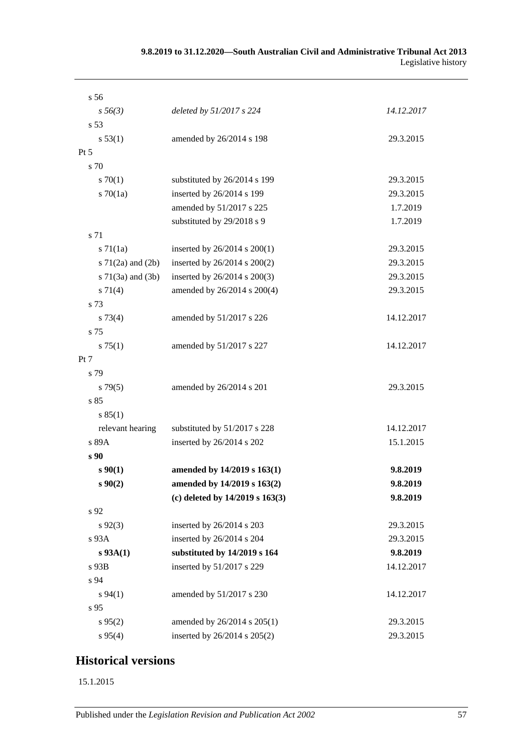| s 56                  |                                  |            |
|-----------------------|----------------------------------|------------|
| $s\,56(3)$            | deleted by 51/2017 s 224         | 14.12.2017 |
| s <sub>53</sub>       |                                  |            |
| s 53(1)               | amended by 26/2014 s 198         | 29.3.2015  |
| $Pt\,5$               |                                  |            |
| s 70                  |                                  |            |
| 570(1)                | substituted by 26/2014 s 199     | 29.3.2015  |
| $s \, 70(1a)$         | inserted by 26/2014 s 199        | 29.3.2015  |
|                       | amended by 51/2017 s 225         | 1.7.2019   |
|                       | substituted by 29/2018 s 9       | 1.7.2019   |
| s 71                  |                                  |            |
| $s \, 71(1a)$         | inserted by $26/2014$ s $200(1)$ | 29.3.2015  |
| s $71(2a)$ and $(2b)$ | inserted by 26/2014 s 200(2)     | 29.3.2015  |
| $s$ 71(3a) and (3b)   | inserted by 26/2014 s 200(3)     | 29.3.2015  |
| s 71(4)               | amended by 26/2014 s 200(4)      | 29.3.2015  |
| s 73                  |                                  |            |
| $s \, 73(4)$          | amended by 51/2017 s 226         | 14.12.2017 |
| s 75                  |                                  |            |
| s 75(1)               | amended by 51/2017 s 227         | 14.12.2017 |
| Pt 7                  |                                  |            |
| s 79                  |                                  |            |
| $s\,79(5)$            | amended by 26/2014 s 201         | 29.3.2015  |
| s 85                  |                                  |            |
| s 85(1)               |                                  |            |
| relevant hearing      | substituted by 51/2017 s 228     | 14.12.2017 |
| s 89A                 | inserted by 26/2014 s 202        | 15.1.2015  |
| s <sub>90</sub>       |                                  |            |
| $s \, 90(1)$          | amended by 14/2019 s 163(1)      | 9.8.2019   |
| $s\,90(2)$            | amended by 14/2019 s 163(2)      | 9.8.2019   |
|                       | (c) deleted by 14/2019 s 163(3)  | 9.8.2019   |
| s 92                  |                                  |            |
| $s\,92(3)$            | inserted by 26/2014 s 203        | 29.3.2015  |
| $s\,93A$              | inserted by 26/2014 s 204        | 29.3.2015  |
| $s$ 93A(1)            | substituted by 14/2019 s 164     | 9.8.2019   |
| $s$ 93B               | inserted by 51/2017 s 229        | 14.12.2017 |
| s 94                  |                                  |            |
| $s\,94(1)$            | amended by 51/2017 s 230         | 14.12.2017 |
| s 95                  |                                  |            |
| s 95(2)               | amended by 26/2014 s 205(1)      | 29.3.2015  |
| s 95(4)               | inserted by 26/2014 s 205(2)     | 29.3.2015  |

# **Historical versions**

15.1.2015